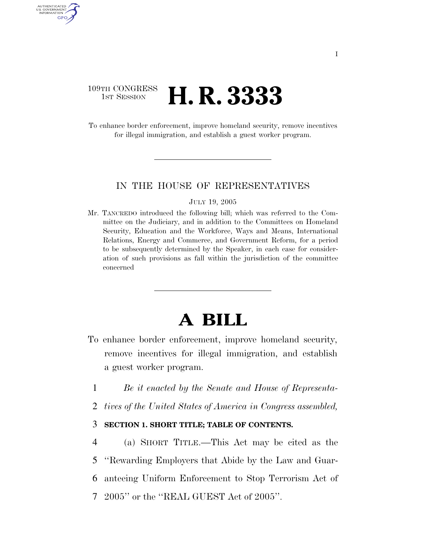# 109TH CONGRESS **1ST SESSION H. R. 33333**

AUTHENTICATED U.S. GOVERNMENT GPO

> To enhance border enforcement, improve homeland security, remove incentives for illegal immigration, and establish a guest worker program.

#### IN THE HOUSE OF REPRESENTATIVES

#### JULY 19, 2005

Mr. TANCREDO introduced the following bill; which was referred to the Committee on the Judiciary, and in addition to the Committees on Homeland Security, Education and the Workforce, Ways and Means, International Relations, Energy and Commerce, and Government Reform, for a period to be subsequently determined by the Speaker, in each case for consideration of such provisions as fall within the jurisdiction of the committee concerned

# **A BILL**

- To enhance border enforcement, improve homeland security, remove incentives for illegal immigration, and establish a guest worker program.
	- 1 *Be it enacted by the Senate and House of Representa-*
- 2 *tives of the United States of America in Congress assembled,*

# 3 **SECTION 1. SHORT TITLE; TABLE OF CONTENTS.**

 (a) SHORT TITLE.—This Act may be cited as the ''Rewarding Employers that Abide by the Law and Guar- anteeing Uniform Enforcement to Stop Terrorism Act of 2005'' or the ''REAL GUEST Act of 2005''.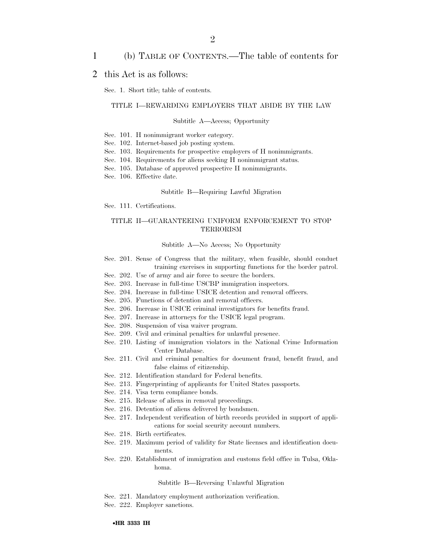## 1 (b) TABLE OF CONTENTS.—The table of contents for

#### 2 this Act is as follows:

Sec. 1. Short title; table of contents.

#### TITLE I—REWARDING EMPLOYERS THAT ABIDE BY THE LAW

#### Subtitle A—Access; Opportunity

- Sec. 101. H nonimmigrant worker category.
- Sec. 102. Internet-based job posting system.
- Sec. 103. Requirements for prospective employers of H nonimmigrants.
- Sec. 104. Requirements for aliens seeking H nonimmigrant status.
- Sec. 105. Database of approved prospective H nonimmigrants.
- Sec. 106. Effective date.

#### Subtitle B—Requiring Lawful Migration

Sec. 111. Certifications.

#### TITLE II—GUARANTEEING UNIFORM ENFORCEMENT TO STOP TERRORISM

Subtitle A—No Access; No Opportunity

- Sec. 201. Sense of Congress that the military, when feasible, should conduct training exercises in supporting functions for the border patrol.
- Sec. 202. Use of army and air force to secure the borders.
- Sec. 203. Increase in full-time USCBP immigration inspectors.
- Sec. 204. Increase in full-time USICE detention and removal officers.
- Sec. 205. Functions of detention and removal officers.
- Sec. 206. Increase in USICE criminal investigators for benefits fraud.
- Sec. 207. Increase in attorneys for the USICE legal program.
- Sec. 208. Suspension of visa waiver program.
- Sec. 209. Civil and criminal penalties for unlawful presence.
- Sec. 210. Listing of immigration violators in the National Crime Information Center Database.
- Sec. 211. Civil and criminal penalties for document fraud, benefit fraud, and false claims of citizenship.
- Sec. 212. Identification standard for Federal benefits.
- Sec. 213. Fingerprinting of applicants for United States passports.
- Sec. 214. Visa term compliance bonds.
- Sec. 215. Release of aliens in removal proceedings.
- Sec. 216. Detention of aliens delivered by bondsmen.
- Sec. 217. Independent verification of birth records provided in support of applications for social security account numbers.
- Sec. 218. Birth certificates.
- Sec. 219. Maximum period of validity for State licenses and identification documents.
- Sec. 220. Establishment of immigration and customs field office in Tulsa, Oklahoma.

#### Subtitle B—Reversing Unlawful Migration

- Sec. 221. Mandatory employment authorization verification.
- Sec. 222. Employer sanctions.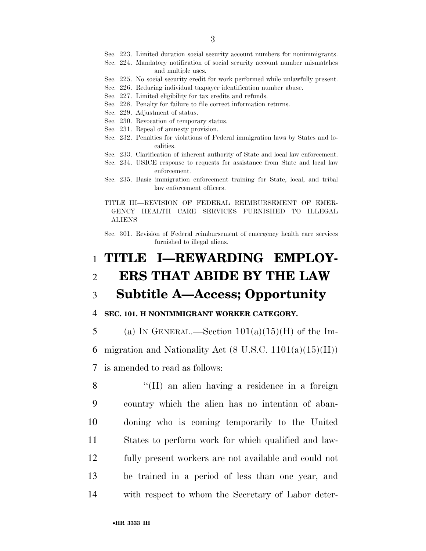- Sec. 223. Limited duration social security account numbers for nonimmigrants.
- Sec. 224. Mandatory notification of social security account number mismatches and multiple uses.
- Sec. 225. No social security credit for work performed while unlawfully present.
- Sec. 226. Reducing individual taxpayer identification number abuse.
- Sec. 227. Limited eligibility for tax credits and refunds.
- Sec. 228. Penalty for failure to file correct information returns.
- Sec. 229. Adjustment of status.
- Sec. 230. Revocation of temporary status.
- Sec. 231. Repeal of amnesty provision.
- Sec. 232. Penalties for violations of Federal immigration laws by States and localities.
- Sec. 233. Clarification of inherent authority of State and local law enforcement.
- Sec. 234. USICE response to requests for assistance from State and local law enforcement.
- Sec. 235. Basic immigration enforcement training for State, local, and tribal law enforcement officers.
- TITLE III—REVISION OF FEDERAL REIMBURSEMENT OF EMER-GENCY HEALTH CARE SERVICES FURNISHED TO ILLEGAL ALIENS

Sec. 301. Revision of Federal reimbursement of emergency health care services furnished to illegal aliens.

# 1 **TITLE I—REWARDING EMPLOY-**2 **ERS THAT ABIDE BY THE LAW**

# 3 **Subtitle A—Access; Opportunity**

## 4 **SEC. 101. H NONIMMIGRANT WORKER CATEGORY.**

5 (a) IN GENERAL.—Section  $101(a)(15)(H)$  of the Im-6 migration and Nationality Act  $(8 \text{ U.S.C. } 1101(a)(15)(\text{H}))$ 7 is amended to read as follows:

8 "(H) an alien having a residence in a foreign country which the alien has no intention of aban- doning who is coming temporarily to the United States to perform work for which qualified and law- fully present workers are not available and could not be trained in a period of less than one year, and with respect to whom the Secretary of Labor deter-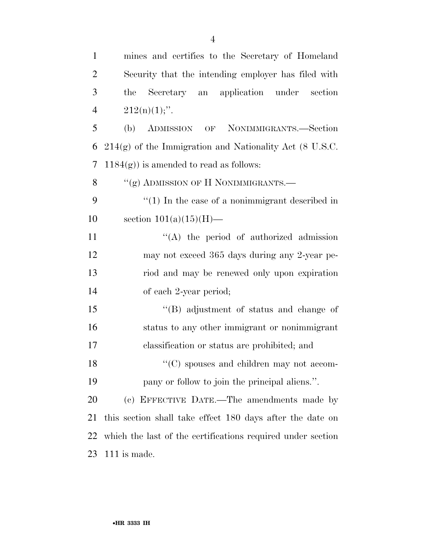| $\mathbf{1}$   | mines and certifies to the Secretary of Homeland            |
|----------------|-------------------------------------------------------------|
| $\overline{2}$ | Security that the intending employer has filed with         |
| 3              | Secretary an application under<br>the<br>section            |
| $\overline{4}$ | $212(n)(1)$ ;".                                             |
| 5              | ADMISSION OF NONIMMIGRANTS.-Section<br>(b)                  |
| 6              | $214(g)$ of the Immigration and Nationality Act (8 U.S.C.   |
| $\tau$         | $1184(g)$ ) is amended to read as follows:                  |
| 8              | "(g) ADMISSION OF H NONIMMIGRANTS.—                         |
| 9              | $``(1)$ In the case of a nonimmigrant described in          |
| 10             | section $101(a)(15)(H)$ —                                   |
| 11             | $\lq\lq$ the period of authorized admission                 |
| 12             | may not exceed 365 days during any 2-year pe-               |
| 13             | riod and may be renewed only upon expiration                |
| 14             | of each 2-year period;                                      |
| 15             | $\lq\lq$ adjustment of status and change of                 |
| 16             | status to any other immigrant or nonimmigrant               |
| 17             | classification or status are prohibited; and                |
| 18             | $\lq\lq$ spouses and children may not accom-                |
| 19             | pany or follow to join the principal aliens.".              |
| 20             | (c) EFFECTIVE DATE.—The amendments made by                  |
| 21             | this section shall take effect 180 days after the date on   |
| 22             | which the last of the certifications required under section |
| 23             | $111$ is made.                                              |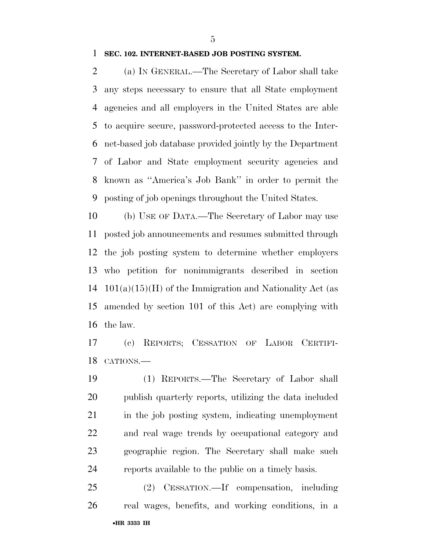## **SEC. 102. INTERNET-BASED JOB POSTING SYSTEM.**

 (a) IN GENERAL.—The Secretary of Labor shall take any steps necessary to ensure that all State employment agencies and all employers in the United States are able to acquire secure, password-protected access to the Inter- net-based job database provided jointly by the Department of Labor and State employment security agencies and known as ''America's Job Bank'' in order to permit the posting of job openings throughout the United States.

 (b) USE OF DATA.—The Secretary of Labor may use posted job announcements and resumes submitted through the job posting system to determine whether employers who petition for nonimmigrants described in section  $101(a)(15)(H)$  of the Immigration and Nationality Act (as amended by section 101 of this Act) are complying with the law.

 (c) REPORTS; CESSATION OF LABOR CERTIFI-CATIONS.—

 (1) REPORTS.—The Secretary of Labor shall publish quarterly reports, utilizing the data included in the job posting system, indicating unemployment and real wage trends by occupational category and geographic region. The Secretary shall make such reports available to the public on a timely basis.

•**HR 3333 IH**  (2) CESSATION.—If compensation, including real wages, benefits, and working conditions, in a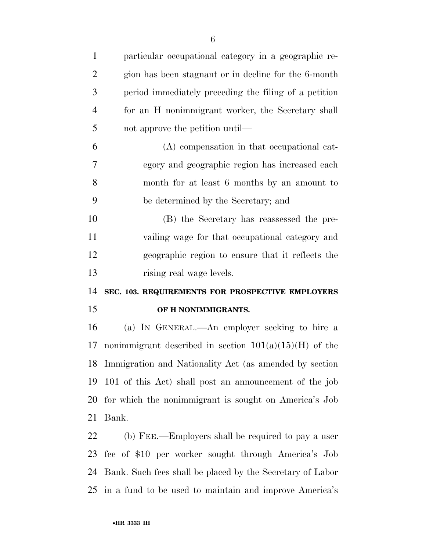| $\mathbf{1}$   | particular occupational category in a geographic re-      |
|----------------|-----------------------------------------------------------|
| $\overline{2}$ | gion has been stagnant or in decline for the 6-month      |
| 3              | period immediately preceding the filing of a petition     |
| $\overline{4}$ | for an H nonimmigrant worker, the Secretary shall         |
| 5              | not approve the petition until—                           |
| 6              | (A) compensation in that occupational cat-                |
| 7              | egory and geographic region has increased each            |
| 8              | month for at least 6 months by an amount to               |
| 9              | be determined by the Secretary; and                       |
| 10             | (B) the Secretary has reassessed the pre-                 |
| 11             | vailing wage for that occupational category and           |
| 12             | geographic region to ensure that it reflects the          |
| 13             | rising real wage levels.                                  |
|                |                                                           |
| 14             | SEC. 103. REQUIREMENTS FOR PROSPECTIVE EMPLOYERS          |
| 15             | OF H NONIMMIGRANTS.                                       |
| 16             | (a) IN GENERAL.—An employer seeking to hire a             |
| 17             | nonimmigrant described in section $101(a)(15)(H)$ of the  |
|                | 18 Immigration and Nationality Act (as amended by section |
| 19             | 101 of this Act) shall post an announcement of the job    |
| 20             | for which the nonimmigrant is sought on America's Job     |
| 21             | Bank.                                                     |
| 22             | (b) FEE.—Employers shall be required to pay a user        |
| 23             | fee of \$10 per worker sought through America's Job       |
| 24             | Bank. Such fees shall be placed by the Secretary of Labor |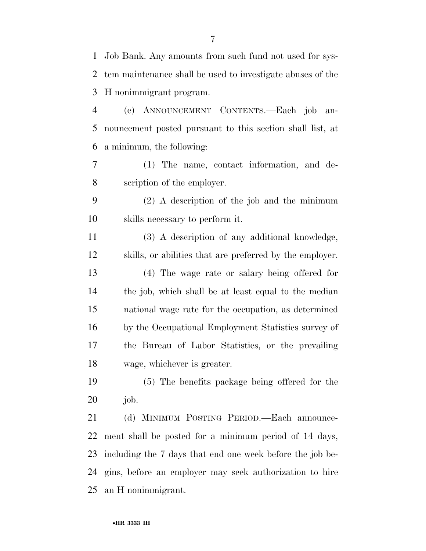| 1      | Job Bank. Any amounts from such fund not used for sys-     |
|--------|------------------------------------------------------------|
| 2      | tem maintenance shall be used to investigate abuses of the |
| 3      | H nonimmigrant program.                                    |
| 4      | (c) ANNOUNCEMENT CONTENTS.-Each job an-                    |
| 5      | nouncement posted pursuant to this section shall list, at  |
| 6      | a minimum, the following:                                  |
| 7      | (1) The name, contact information, and de-                 |
| 8      | scription of the employer.                                 |
| 9      | $(2)$ A description of the job and the minimum             |
| 10     | skills necessary to perform it.                            |
| 11     | (3) A description of any additional knowledge,             |
| 12     | skills, or abilities that are preferred by the employer.   |
| 13     | (4) The wage rate or salary being offered for              |
| 14     | the job, which shall be at least equal to the median       |
| 15     | national wage rate for the occupation, as determined       |
| 16     | by the Occupational Employment Statistics survey of        |
| $17\,$ | the Bureau of Labor Statistics, or the prevailing          |
| 18     | wage, whichever is greater.                                |
| 19     | (5) The benefits package being offered for the             |
| 20     | job.                                                       |
| 21     | (d) MINIMUM POSTING PERIOD. Each announce-                 |
| 22     | ment shall be posted for a minimum period of 14 days,      |
| 23     | including the 7 days that end one week before the job be-  |
| 24     | gins, before an employer may seek authorization to hire    |
| 25     | an H nonimmigrant.                                         |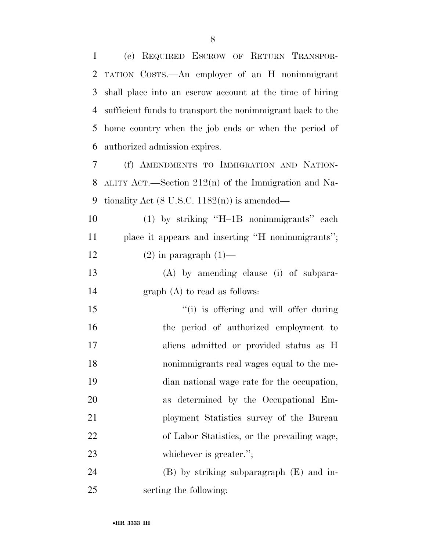(e) REQUIRED ESCROW OF RETURN TRANSPOR- TATION COSTS.—An employer of an H nonimmigrant shall place into an escrow account at the time of hiring sufficient funds to transport the nonimmigrant back to the home country when the job ends or when the period of authorized admission expires.

 (f) AMENDMENTS TO IMMIGRATION AND NATION- ALITY ACT.—Section 212(n) of the Immigration and Na-9 tionality Act  $(8 \text{ U.S.C. } 1182(\text{n}))$  is amended—

 (1) by striking ''H–1B nonimmigrants'' each place it appears and inserting ''H nonimmigrants''; 12 (2) in paragraph  $(1)$ —

 (A) by amending clause (i) of subpara-graph (A) to read as follows:

 $\frac{1}{10}$  is offering and will offer during the period of authorized employment to aliens admitted or provided status as H nonimmigrants real wages equal to the me- dian national wage rate for the occupation, as determined by the Occupational Em- ployment Statistics survey of the Bureau of Labor Statistics, or the prevailing wage, 23 whichever is greater.";

 (B) by striking subparagraph (E) and in-serting the following: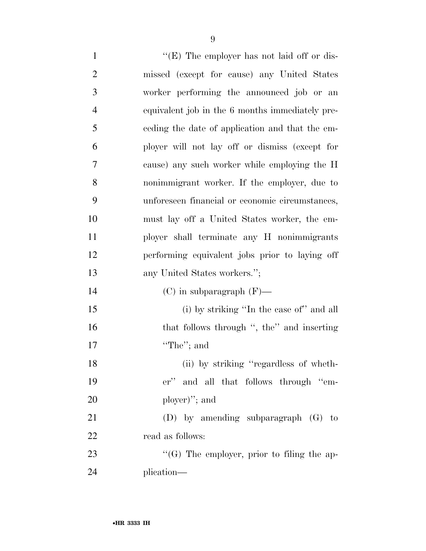1  $"({\rm E})$  The employer has not laid off or dis-

|                | $(1)$ The employer has not fall of the          |
|----------------|-------------------------------------------------|
| $\overline{2}$ | missed (except for cause) any United States     |
| 3              | worker performing the announced job or an       |
| $\overline{4}$ | equivalent job in the 6 months immediately pre- |
| 5              | eeding the date of application and that the em- |
| 6              | ployer will not lay off or dismiss (except for  |
| 7              | cause) any such worker while employing the H    |
| 8              | nonimmigrant worker. If the employer, due to    |
| 9              | unforeseen financial or economic circumstances, |
| 10             | must lay off a United States worker, the em-    |
| 11             | ployer shall terminate any H nonimmigrants      |
| 12             | performing equivalent jobs prior to laying off  |
| 13             | any United States workers.";                    |
| 14             | $(C)$ in subparagraph $(F)$ —                   |
| 15             | (i) by striking "In the case of" and all        |
| 16             | that follows through ", the" and inserting      |
| 17             | "The"; and                                      |
| 18             | (ii) by striking "regardless of wheth-          |
| 19             | er" and all that follows through "em-           |
| 20             | ployer)"; and                                   |
| 21             | (D) by amending subparagraph $(G)$ to           |
| 22             | read as follows:                                |
| 23             | " $(G)$ The employer, prior to filing the ap-   |
| 24             | plication—                                      |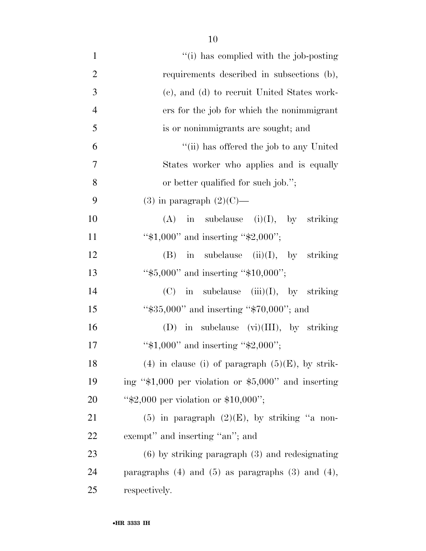10

| $\mathbf{1}$   | "(i) has complied with the job-posting                     |
|----------------|------------------------------------------------------------|
|                |                                                            |
| $\overline{2}$ | requirements described in subsections (b),                 |
| 3              | (c), and (d) to recruit United States work-                |
| $\overline{4}$ | ers for the job for which the nonimmigrant                 |
| 5              | is or nonimmigrants are sought; and                        |
| 6              | "(ii) has offered the job to any United                    |
| $\overline{7}$ | States worker who applies and is equally                   |
| 8              | or better qualified for such job.";                        |
| 9              | $(3)$ in paragraph $(2)(C)$ —                              |
| 10             | $(A)$ in subclause $(i)(I)$ , by striking                  |
| 11             | " $$1,000"$ and inserting " $$2,000"$ ;                    |
| 12             | in subclause $(ii)(I)$ , by striking<br>(B)                |
| 13             | " $$5,000"$ and inserting " $$10,000"$ ;                   |
| 14             | in subclause $(iii)(I)$ , by striking<br>(C)               |
| 15             | " $\$35,000"$ and inserting " $\$70,000"$ ; and            |
| 16             | (D) in subclause $(vi)(III)$ , by striking                 |
| 17             | " $$1,000"$ and inserting " $$2,000"$ ;                    |
| 18             | (4) in clause (i) of paragraph $(5)(E)$ , by strik-        |
| 19             | ing " $$1,000$ per violation or $$5,000"$ and inserting    |
| 20             | " $$2,000$ per violation or \$10,000";                     |
| 21             | $(5)$ in paragraph $(2)(E)$ , by striking "a non-          |
| 22             | exempt" and inserting "an"; and                            |
| 23             | $(6)$ by striking paragraph $(3)$ and redesignating        |
| 24             | paragraphs $(4)$ and $(5)$ as paragraphs $(3)$ and $(4)$ , |
| 25             | respectively.                                              |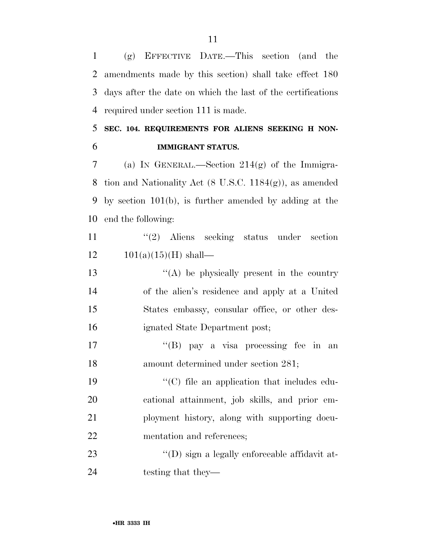(g) EFFECTIVE DATE.—This section (and the amendments made by this section) shall take effect 180 days after the date on which the last of the certifications required under section 111 is made.

# **SEC. 104. REQUIREMENTS FOR ALIENS SEEKING H NON-IMMIGRANT STATUS.**

7 (a) IN GENERAL.—Section  $214(g)$  of the Immigra- tion and Nationality Act (8 U.S.C. 1184(g)), as amended by section 101(b), is further amended by adding at the end the following:

11 ''(2) Aliens seeking status under section  $12 \t101(a)(15)(H)$  shall—

13 ''(A) be physically present in the country of the alien's residence and apply at a United States embassy, consular office, or other des-ignated State Department post;

17 ''(B) pay a visa processing fee in an amount determined under section 281;

 $\cdot$  (C) file an application that includes edu- cational attainment, job skills, and prior em- ployment history, along with supporting docu-mentation and references;

23  $\cdot$  (D) sign a legally enforceable affidavit at-24 testing that they—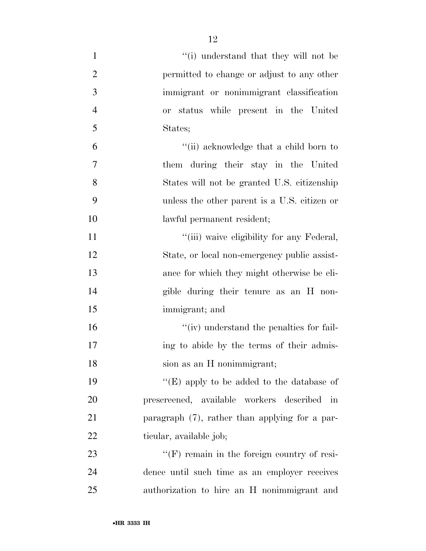| $\mathbf{1}$   | "(i) understand that they will not be              |
|----------------|----------------------------------------------------|
| $\overline{2}$ | permitted to change or adjust to any other         |
| 3              | immigrant or nonimmigrant classification           |
| $\overline{4}$ | or status while present in the United              |
| 5              | States;                                            |
| 6              | "(ii) acknowledge that a child born to             |
| 7              | them during their stay in the United               |
| 8              | States will not be granted U.S. citizenship        |
| 9              | unless the other parent is a U.S. citizen or       |
| 10             | lawful permanent resident;                         |
| 11             | "(iii) waive eligibility for any Federal,          |
| 12             | State, or local non-emergency public assist-       |
| 13             | ance for which they might otherwise be eli-        |
| 14             | gible during their tenure as an H non-             |
| 15             | immigrant; and                                     |
| 16             | $\lq\lq$ (iv) understand the penalties for fail-   |
| 17             | ing to abide by the terms of their admis-          |
| 18             | sion as an H nonimmigrant;                         |
| 19             | "(E) apply to be added to the database of          |
| 20             | prescreened, available workers described<br>in     |
| 21             | paragraph $(7)$ , rather than applying for a par-  |
| 22             | ticular, available job;                            |
| 23             | $\lq\lq(F)$ remain in the foreign country of resi- |
| 24             | dence until such time as an employer receives      |
| 25             | authorization to hire an H nonimmigrant and        |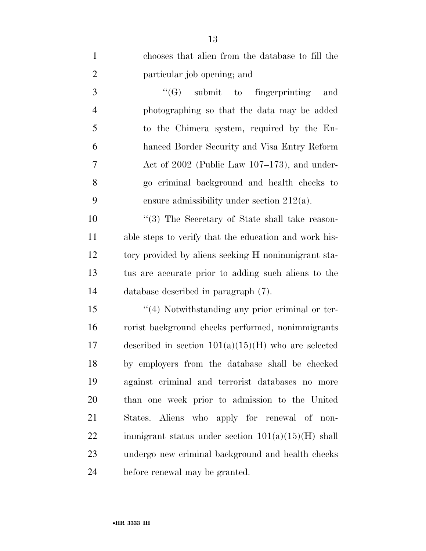| $\mathbf{1}$   | chooses that alien from the database to fill the      |
|----------------|-------------------------------------------------------|
| $\overline{2}$ | particular job opening; and                           |
| 3              | $\lq\lq(G)$ submit to fingerprinting<br>and           |
| $\overline{4}$ | photographing so that the data may be added           |
| 5              | to the Chimera system, required by the En-            |
| 6              | hanced Border Security and Visa Entry Reform          |
| 7              | Act of $2002$ (Public Law $107-173$ ), and under-     |
| 8              | go criminal background and health checks to           |
| 9              | ensure admissibility under section $212(a)$ .         |
| 10             | "(3) The Secretary of State shall take reason-        |
| 11             | able steps to verify that the education and work his- |
| 12             | tory provided by aliens seeking H nonimmigrant sta-   |
| 13             | tus are accurate prior to adding such aliens to the   |
| 14             | database described in paragraph (7).                  |
| 15             | $\lq(4)$ Notwithstanding any prior criminal or ter-   |
| 16             | rorist background checks performed, nonimmigrants     |
| 17             | described in section $101(a)(15)(H)$ who are selected |
| 18             | by employers from the database shall be checked       |
| 19             | against criminal and terrorist databases no more      |
| 20             | than one week prior to admission to the United        |
| 21             | States. Aliens who apply for renewal of non-          |
| 22             | immigrant status under section $101(a)(15)(H)$ shall  |
| 23             | undergo new criminal background and health checks     |
| 24             | before renewal may be granted.                        |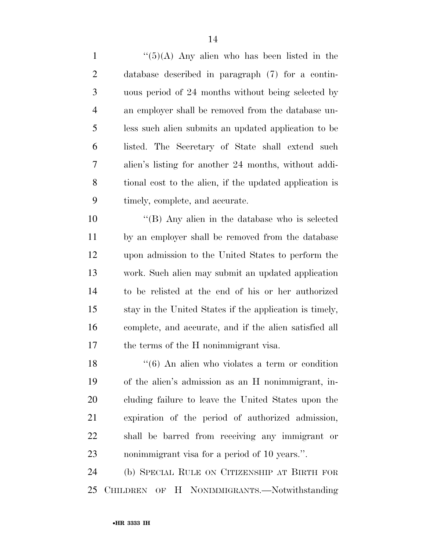$\frac{1}{(5)(A)}$  Any alien who has been listed in the database described in paragraph (7) for a contin- uous period of 24 months without being selected by an employer shall be removed from the database un- less such alien submits an updated application to be listed. The Secretary of State shall extend such alien's listing for another 24 months, without addi- tional cost to the alien, if the updated application is timely, complete, and accurate.

 ''(B) Any alien in the database who is selected by an employer shall be removed from the database upon admission to the United States to perform the work. Such alien may submit an updated application to be relisted at the end of his or her authorized stay in the United States if the application is timely, complete, and accurate, and if the alien satisfied all the terms of the H nonimmigrant visa.

 ''(6) An alien who violates a term or condition of the alien's admission as an H nonimmigrant, in- cluding failure to leave the United States upon the expiration of the period of authorized admission, shall be barred from receiving any immigrant or nonimmigrant visa for a period of 10 years.''.

 (b) SPECIAL RULE ON CITIZENSHIP AT BIRTH FOR CHILDREN OF H NONIMMIGRANTS.—Notwithstanding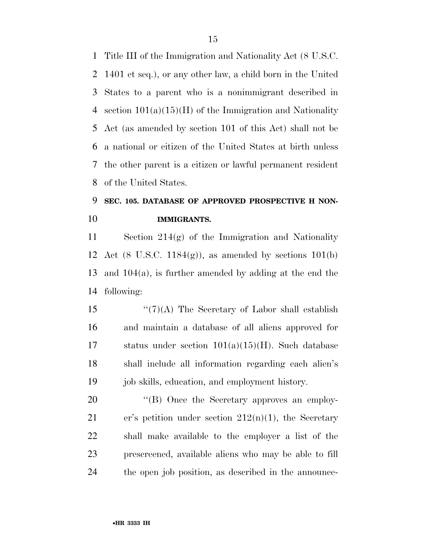Title III of the Immigration and Nationality Act (8 U.S.C. 1401 et seq.), or any other law, a child born in the United States to a parent who is a nonimmigrant described in 4 section  $101(a)(15)(H)$  of the Immigration and Nationality Act (as amended by section 101 of this Act) shall not be a national or citizen of the United States at birth unless the other parent is a citizen or lawful permanent resident of the United States.

# **SEC. 105. DATABASE OF APPROVED PROSPECTIVE H NON-IMMIGRANTS.**

 Section 214(g) of the Immigration and Nationality 12 Act (8 U.S.C. 1184 $(g)$ ), as amended by sections 101 $(b)$  and 104(a), is further amended by adding at the end the following:

 $\frac{15}{2}$   $\frac{15}{2}$   $\frac{15}{2}$  The Secretary of Labor shall establish and maintain a database of all aliens approved for status under section 101(a)(15)(H). Such database shall include all information regarding each alien's job skills, education, and employment history.

20 "(B) Once the Secretary approves an employ-21 er's petition under section  $212(n)(1)$ , the Secretary shall make available to the employer a list of the prescreened, available aliens who may be able to fill the open job position, as described in the announce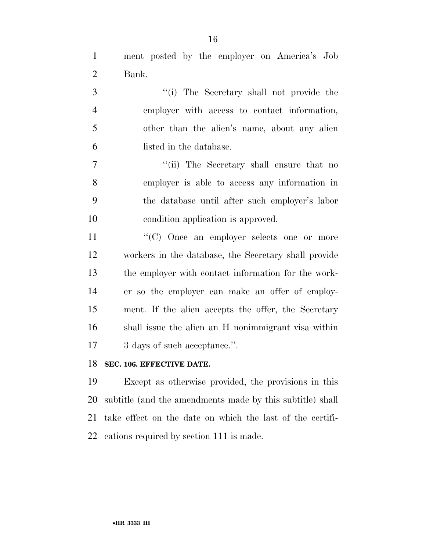ment posted by the employer on America's Job Bank.

3 ''(i) The Secretary shall not provide the employer with access to contact information, other than the alien's name, about any alien listed in the database.

7 ''(ii) The Secretary shall ensure that no employer is able to access any information in the database until after such employer's labor condition application is approved.

 $\langle ^{\prime}(C) \rangle$  Once an employer selects one or more workers in the database, the Secretary shall provide the employer with contact information for the work- er so the employer can make an offer of employ- ment. If the alien accepts the offer, the Secretary shall issue the alien an H nonimmigrant visa within 3 days of such acceptance.''.

## **SEC. 106. EFFECTIVE DATE.**

 Except as otherwise provided, the provisions in this subtitle (and the amendments made by this subtitle) shall take effect on the date on which the last of the certifi-cations required by section 111 is made.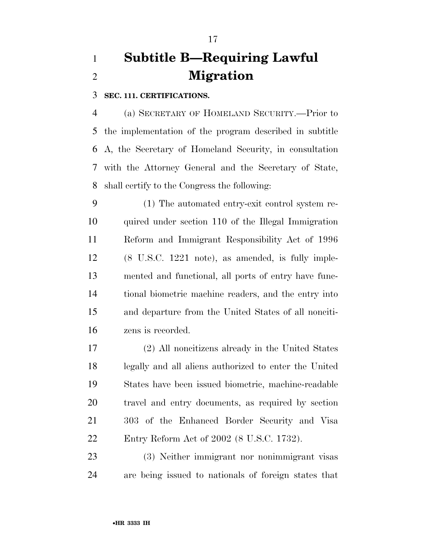# **Subtitle B—Requiring Lawful Migration**

**SEC. 111. CERTIFICATIONS.** 

 (a) SECRETARY OF HOMELAND SECURITY.—Prior to the implementation of the program described in subtitle A, the Secretary of Homeland Security, in consultation with the Attorney General and the Secretary of State, shall certify to the Congress the following:

 (1) The automated entry-exit control system re- quired under section 110 of the Illegal Immigration Reform and Immigrant Responsibility Act of 1996 (8 U.S.C. 1221 note), as amended, is fully imple- mented and functional, all ports of entry have func- tional biometric machine readers, and the entry into and departure from the United States of all nonciti-zens is recorded.

 (2) All noncitizens already in the United States legally and all aliens authorized to enter the United States have been issued biometric, machine-readable travel and entry documents, as required by section 303 of the Enhanced Border Security and Visa Entry Reform Act of 2002 (8 U.S.C. 1732).

 (3) Neither immigrant nor nonimmigrant visas are being issued to nationals of foreign states that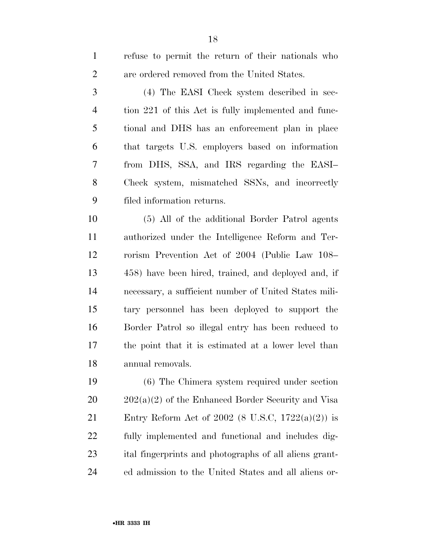| $\mathbf{1}$   | refuse to permit the return of their nationals who    |
|----------------|-------------------------------------------------------|
| $\mathfrak{2}$ | are ordered removed from the United States.           |
| 3              | (4) The EASI Check system described in sec-           |
| $\overline{4}$ | tion 221 of this Act is fully implemented and func-   |
| 5              | tional and DHS has an enforcement plan in place       |
| 6              | that targets U.S. employers based on information      |
| 7              | from DHS, SSA, and IRS regarding the EASI-            |
| 8              | Check system, mismatched SSNs, and incorrectly        |
| 9              | filed information returns.                            |
| 10             | (5) All of the additional Border Patrol agents        |
| 11             | authorized under the Intelligence Reform and Ter-     |
| 12             | rorism Prevention Act of 2004 (Public Law 108–        |
| 13             | 458) have been hired, trained, and deployed and, if   |
| 14             | necessary, a sufficient number of United States mili- |
| 15             | tary personnel has been deployed to support the       |
| 16             | Border Patrol so illegal entry has been reduced to    |
| 17             | the point that it is estimated at a lower level than  |
| 18             | annual removals.                                      |
| 19             | $(6)$ The Chimera system required under section       |
| 20             | $202(a)(2)$ of the Enhanced Border Security and Visa  |
| 21             | Entry Reform Act of 2002 (8 U.S.C, 1722(a)(2)) is     |
| 22             | fully implemented and functional and includes dig-    |
|                |                                                       |

ed admission to the United States and all aliens or-

ital fingerprints and photographs of all aliens grant-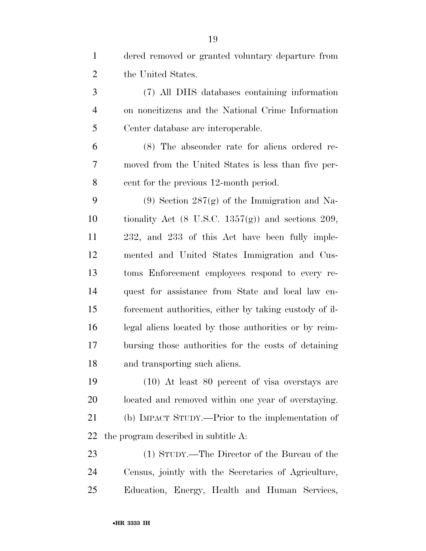| $\mathbf{1}$   | dered removed or granted voluntary departure from             |
|----------------|---------------------------------------------------------------|
| $\overline{2}$ | the United States.                                            |
| 3              | (7) All DHS databases containing information                  |
| $\overline{4}$ | on noncitizens and the National Crime Information             |
| 5              | Center database are interoperable.                            |
| 6              | (8) The absconder rate for aliens ordered re-                 |
| 7              | moved from the United States is less than five per-           |
| 8              | cent for the previous 12-month period.                        |
| 9              | $(9)$ Section 287 $(g)$ of the Immigration and Na-            |
| 10             | tionality Act $(8 \text{ U.S.C. } 1357(g))$ and sections 209, |
| 11             | 232, and 233 of this Act have been fully imple-               |
| 12             | mented and United States Immigration and Cus-                 |
| 13             | toms Enforcement employees respond to every re-               |
| 14             | quest for assistance from State and local law en-             |
| 15             | forcement authorities, either by taking custody of il-        |
| 16             | legal aliens located by those authorities or by reim-         |
| 17             | bursing those authorities for the costs of detaining          |
| 18             | and transporting such aliens.                                 |
| 19             | $(10)$ At least 80 percent of visa overstays are              |
| 20             | located and removed within one year of overstaying.           |
| 21             | (b) IMPACT STUDY.—Prior to the implementation of              |
| 22             | the program described in subtitle A:                          |
| 23             | (1) STUDY.—The Director of the Bureau of the                  |
| 24             | Census, jointly with the Secretaries of Agriculture,          |
| 25             | Education, Energy, Health and Human Services,                 |
|                |                                                               |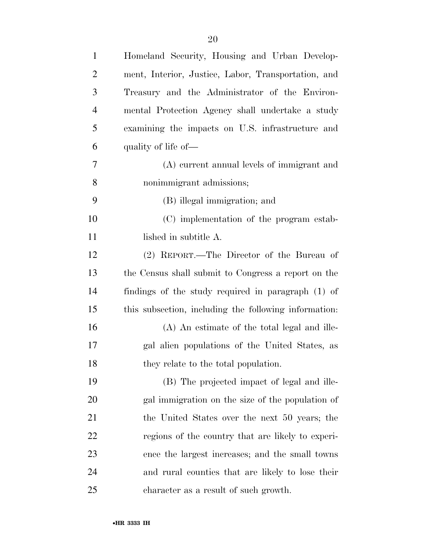| $\mathbf{1}$   | Homeland Security, Housing and Urban Develop-         |
|----------------|-------------------------------------------------------|
| $\overline{2}$ | ment, Interior, Justice, Labor, Transportation, and   |
| 3              | Treasury and the Administrator of the Environ-        |
| $\overline{4}$ | mental Protection Agency shall undertake a study      |
| 5              | examining the impacts on U.S. infrastructure and      |
| 6              | quality of life of—                                   |
| 7              | (A) current annual levels of immigrant and            |
| 8              | nonimmigrant admissions;                              |
| 9              | (B) illegal immigration; and                          |
| 10             | (C) implementation of the program estab-              |
| 11             | lished in subtitle A.                                 |
| 12             | (2) REPORT.—The Director of the Bureau of             |
| 13             | the Census shall submit to Congress a report on the   |
| 14             | findings of the study required in paragraph (1) of    |
| 15             | this subsection, including the following information: |
| 16             | (A) An estimate of the total legal and ille-          |
| 17             | gal alien populations of the United States, as        |
| 18             | they relate to the total population.                  |
| 19             | (B) The projected impact of legal and ille-           |
| <b>20</b>      | gal immigration on the size of the population of      |
| 21             | the United States over the next 50 years; the         |
| 22             | regions of the country that are likely to experi-     |
| 23             | ence the largest increases; and the small towns       |
| 24             | and rural counties that are likely to lose their      |
| 25             | character as a result of such growth.                 |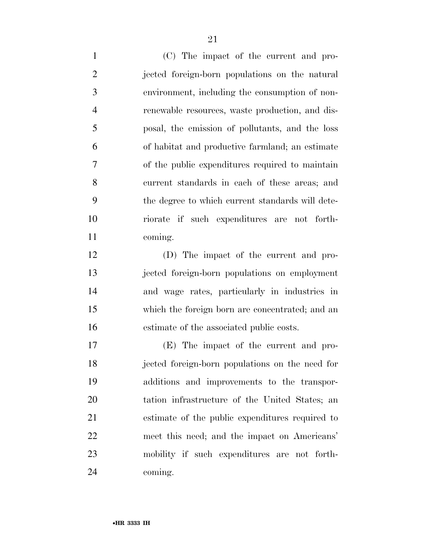(C) The impact of the current and pro- jected foreign-born populations on the natural environment, including the consumption of non- renewable resources, waste production, and dis- posal, the emission of pollutants, and the loss of habitat and productive farmland; an estimate of the public expenditures required to maintain current standards in each of these areas; and the degree to which current standards will dete- riorate if such expenditures are not forth-coming.

 (D) The impact of the current and pro- jected foreign-born populations on employment and wage rates, particularly in industries in which the foreign born are concentrated; and an estimate of the associated public costs.

 (E) The impact of the current and pro- jected foreign-born populations on the need for additions and improvements to the transpor- tation infrastructure of the United States; an estimate of the public expenditures required to meet this need; and the impact on Americans' mobility if such expenditures are not forth-coming.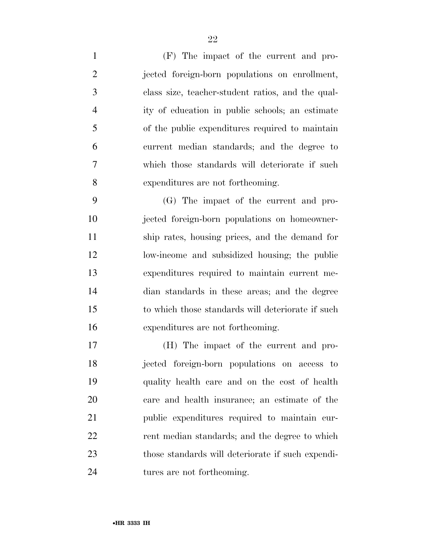(F) The impact of the current and pro- jected foreign-born populations on enrollment, class size, teacher-student ratios, and the qual- ity of education in public schools; an estimate of the public expenditures required to maintain current median standards; and the degree to which those standards will deteriorate if such expenditures are not forthcoming.

 (G) The impact of the current and pro- jected foreign-born populations on homeowner- ship rates, housing prices, and the demand for low-income and subsidized housing; the public expenditures required to maintain current me- dian standards in these areas; and the degree to which those standards will deteriorate if such expenditures are not forthcoming.

 (H) The impact of the current and pro- jected foreign-born populations on access to quality health care and on the cost of health care and health insurance; an estimate of the public expenditures required to maintain cur- rent median standards; and the degree to which those standards will deteriorate if such expendi-tures are not forthcoming.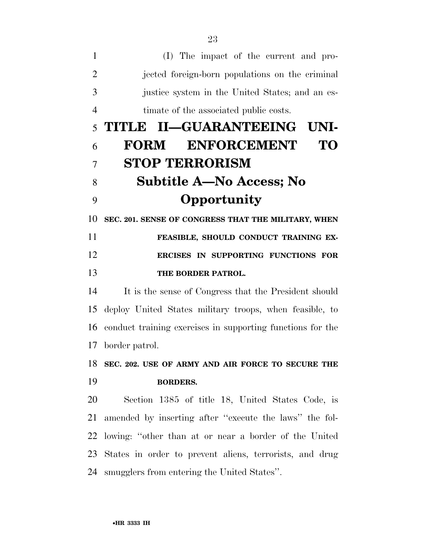| 1              | (I) The impact of the current and pro-                     |
|----------------|------------------------------------------------------------|
| $\overline{2}$ | jected foreign-born populations on the criminal            |
| 3              | justice system in the United States; and an es-            |
| $\overline{4}$ | timate of the associated public costs.                     |
| 5              | TITLE II—GUARANTEEING UNI-                                 |
| 6              | <b>ENFORCEMENT</b><br><b>FORM</b><br>TO                    |
| 7              | <b>STOP TERRORISM</b>                                      |
| 8              | <b>Subtitle A–No Access; No</b>                            |
| 9              | Opportunity                                                |
| 10             | SEC. 201. SENSE OF CONGRESS THAT THE MILITARY, WHEN        |
| 11             | FEASIBLE, SHOULD CONDUCT TRAINING EX-                      |
| 12             | ERCISES IN SUPPORTING FUNCTIONS FOR                        |
| 13             | THE BORDER PATROL.                                         |
| 14             | It is the sense of Congress that the President should      |
| 15             | deploy United States military troops, when feasible, to    |
| 16             | conduct training exercises in supporting functions for the |
| 17             | border patrol.                                             |
| 18             | SEC. 202. USE OF ARMY AND AIR FORCE TO SECURE THE          |
| 19             | <b>BORDERS.</b>                                            |
| 20             | Section 1385 of title 18, United States Code, is           |
| 21             | amended by inserting after "execute the laws" the fol-     |
| 22             | lowing: "other than at or near a border of the United      |
| 23             | States in order to prevent aliens, terrorists, and drug    |
| 24             | smugglers from entering the United States".                |
|                |                                                            |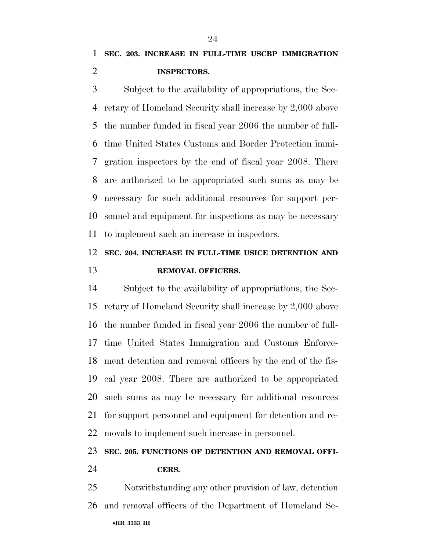Subject to the availability of appropriations, the Sec- retary of Homeland Security shall increase by 2,000 above the number funded in fiscal year 2006 the number of full- time United States Customs and Border Protection immi- gration inspectors by the end of fiscal year 2008. There are authorized to be appropriated such sums as may be necessary for such additional resources for support per- sonnel and equipment for inspections as may be necessary to implement such an increase in inspectors.

# **SEC. 204. INCREASE IN FULL-TIME USICE DETENTION AND REMOVAL OFFICERS.**

 Subject to the availability of appropriations, the Sec- retary of Homeland Security shall increase by 2,000 above the number funded in fiscal year 2006 the number of full- time United States Immigration and Customs Enforce- ment detention and removal officers by the end of the fis- cal year 2008. There are authorized to be appropriated such sums as may be necessary for additional resources for support personnel and equipment for detention and re-movals to implement such increase in personnel.

# **SEC. 205. FUNCTIONS OF DETENTION AND REMOVAL OFFI-**

## **CERS.**

•**HR 3333 IH**  Notwithstanding any other provision of law, detention and removal officers of the Department of Homeland Se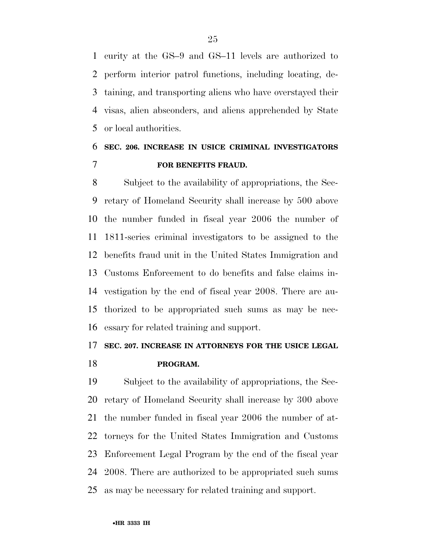curity at the GS–9 and GS–11 levels are authorized to perform interior patrol functions, including locating, de- taining, and transporting aliens who have overstayed their visas, alien absconders, and aliens apprehended by State or local authorities.

# **SEC. 206. INCREASE IN USICE CRIMINAL INVESTIGATORS FOR BENEFITS FRAUD.**

 Subject to the availability of appropriations, the Sec- retary of Homeland Security shall increase by 500 above the number funded in fiscal year 2006 the number of 1811-series criminal investigators to be assigned to the benefits fraud unit in the United States Immigration and Customs Enforcement to do benefits and false claims in- vestigation by the end of fiscal year 2008. There are au- thorized to be appropriated such sums as may be nec-essary for related training and support.

# **SEC. 207. INCREASE IN ATTORNEYS FOR THE USICE LEGAL**

# **PROGRAM.**

 Subject to the availability of appropriations, the Sec- retary of Homeland Security shall increase by 300 above the number funded in fiscal year 2006 the number of at- torneys for the United States Immigration and Customs Enforcement Legal Program by the end of the fiscal year 2008. There are authorized to be appropriated such sums as may be necessary for related training and support.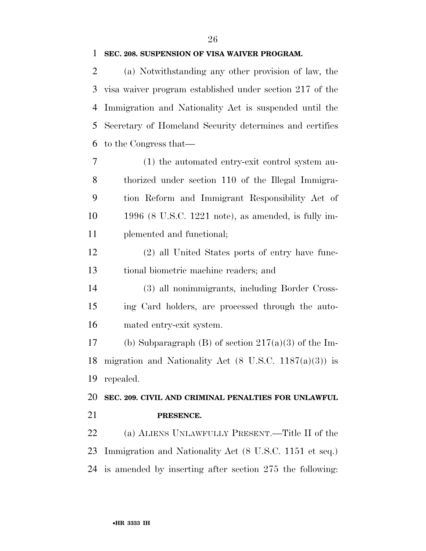#### **SEC. 208. SUSPENSION OF VISA WAIVER PROGRAM.**

 (a) Notwithstanding any other provision of law, the visa waiver program established under section 217 of the Immigration and Nationality Act is suspended until the Secretary of Homeland Security determines and certifies to the Congress that—

 (1) the automated entry-exit control system au- thorized under section 110 of the Illegal Immigra- tion Reform and Immigrant Responsibility Act of 1996 (8 U.S.C. 1221 note), as amended, is fully im-plemented and functional;

 (2) all United States ports of entry have func-tional biometric machine readers; and

 (3) all nonimmigrants, including Border Cross- ing Card holders, are processed through the auto-mated entry-exit system.

17 (b) Subparagraph (B) of section  $217(a)(3)$  of the Im-18 migration and Nationality Act  $(8 \text{ U.S.C. } 1187(a)(3))$  is repealed.

 **SEC. 209. CIVIL AND CRIMINAL PENALTIES FOR UNLAWFUL PRESENCE.** 

 (a) ALIENS UNLAWFULLY PRESENT.—Title II of the Immigration and Nationality Act (8 U.S.C. 1151 et seq.) is amended by inserting after section 275 the following: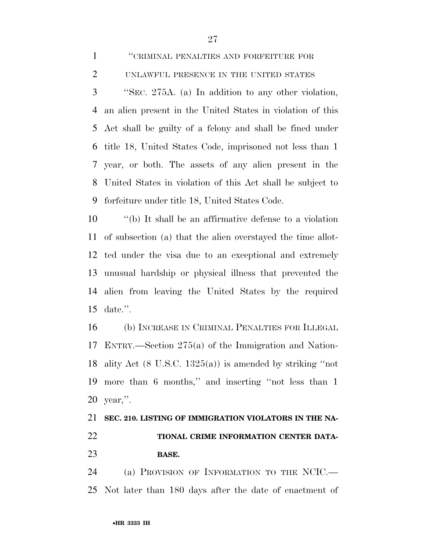| $\mathbf{1}$   | "CRIMINAL PENALTIES AND FORFEITURE FOR                     |
|----------------|------------------------------------------------------------|
| $\overline{2}$ | UNLAWFUL PRESENCE IN THE UNITED STATES                     |
| 3              | "SEC. 275A. (a) In addition to any other violation,        |
| 4              | an alien present in the United States in violation of this |
|                | 5 Act shall be guilty of a felony and shall be fined under |
|                | 6 title 18, United States Code, imprisoned not less than 1 |
|                | 7 year, or both. The assets of any alien present in the    |
| 8              | United States in violation of this Act shall be subject to |
| 9              | forfeiture under title 18, United States Code.             |
| 10             | "(b) It shall be an affirmative defense to a violation"    |

 of subsection (a) that the alien overstayed the time allot- ted under the visa due to an exceptional and extremely unusual hardship or physical illness that prevented the alien from leaving the United States by the required date.''.

 (b) INCREASE IN CRIMINAL PENALTIES FOR ILLEGAL ENTRY.—Section 275(a) of the Immigration and Nation- ality Act (8 U.S.C. 1325(a)) is amended by striking ''not more than 6 months,'' and inserting ''not less than 1 year,''.

# **SEC. 210. LISTING OF IMMIGRATION VIOLATORS IN THE NA- TIONAL CRIME INFORMATION CENTER DATA-BASE.**

 (a) PROVISION OF INFORMATION TO THE NCIC.— Not later than 180 days after the date of enactment of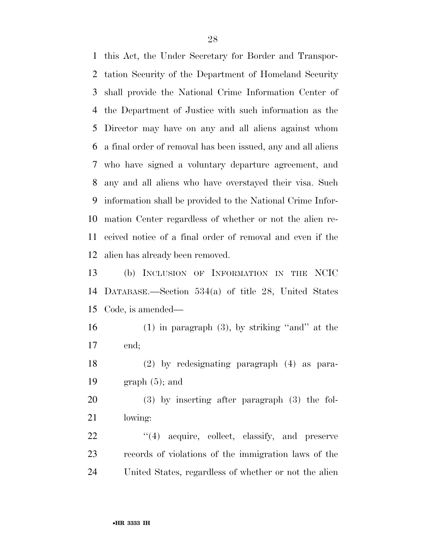this Act, the Under Secretary for Border and Transpor- tation Security of the Department of Homeland Security shall provide the National Crime Information Center of the Department of Justice with such information as the Director may have on any and all aliens against whom a final order of removal has been issued, any and all aliens who have signed a voluntary departure agreement, and any and all aliens who have overstayed their visa. Such information shall be provided to the National Crime Infor- mation Center regardless of whether or not the alien re- ceived notice of a final order of removal and even if the alien has already been removed.

 (b) INCLUSION OF INFORMATION IN THE NCIC DATABASE.—Section 534(a) of title 28, United States Code, is amended—

 (1) in paragraph (3), by striking ''and'' at the end;

 (2) by redesignating paragraph (4) as para-19  $\qquad \qquad$  graph (5); and

 (3) by inserting after paragraph (3) the fol-lowing:

22 "(4) acquire, collect, classify, and preserve records of violations of the immigration laws of the United States, regardless of whether or not the alien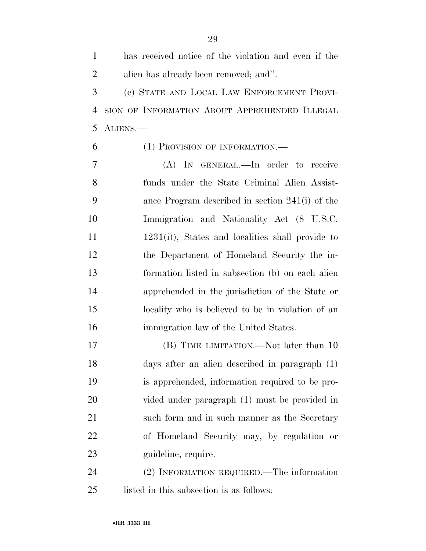has received notice of the violation and even if the alien has already been removed; and''. (c) STATE AND LOCAL LAW ENFORCEMENT PROVI- SION OF INFORMATION ABOUT APPREHENDED ILLEGAL ALIENS.— (1) PROVISION OF INFORMATION.— (A) IN GENERAL.—In order to receive funds under the State Criminal Alien Assist- ance Program described in section 241(i) of the Immigration and Nationality Act (8 U.S.C. 1231(i)), States and localities shall provide to the Department of Homeland Security the in- formation listed in subsection (b) on each alien apprehended in the jurisdiction of the State or locality who is believed to be in violation of an immigration law of the United States. (B) TIME LIMITATION.—Not later than 10 days after an alien described in paragraph (1) is apprehended, information required to be pro-vided under paragraph (1) must be provided in

 such form and in such manner as the Secretary of Homeland Security may, by regulation or guideline, require.

 (2) INFORMATION REQUIRED.—The information listed in this subsection is as follows: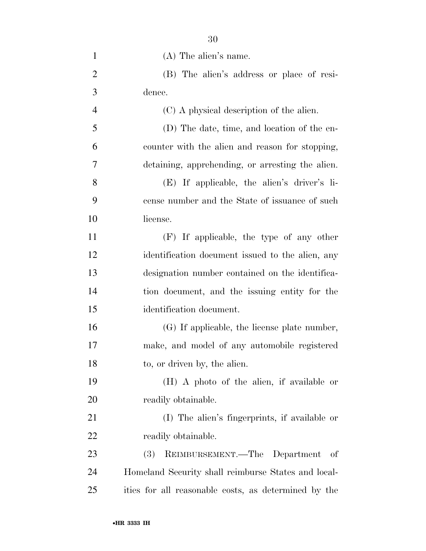| $\mathbf{1}$   | $(A)$ The alien's name.                              |
|----------------|------------------------------------------------------|
| $\overline{2}$ | (B) The alien's address or place of resi-            |
| 3              | dence.                                               |
| $\overline{4}$ | (C) A physical description of the alien.             |
| 5              | (D) The date, time, and location of the en-          |
| 6              | counter with the alien and reason for stopping,      |
| 7              | detaining, apprehending, or arresting the alien.     |
| 8              | (E) If applicable, the alien's driver's li-          |
| 9              | cense number and the State of issuance of such       |
| 10             | license.                                             |
| 11             | (F) If applicable, the type of any other             |
| 12             | identification document issued to the alien, any     |
| 13             | designation number contained on the identifica-      |
| 14             | tion document, and the issuing entity for the        |
| 15             | identification document.                             |
| 16             | (G) If applicable, the license plate number,         |
| 17             | make, and model of any automobile registered         |
| 18             | to, or driven by, the alien.                         |
| 19             | (H) A photo of the alien, if available or            |
| 20             | readily obtainable.                                  |
| 21             | (I) The alien's fingerprints, if available or        |
| 22             | readily obtainable.                                  |
| 23             | REIMBURSEMENT.—The Department<br><b>(3)</b><br>- of  |
| 24             | Homeland Security shall reimburse States and local-  |
| 25             | ities for all reasonable costs, as determined by the |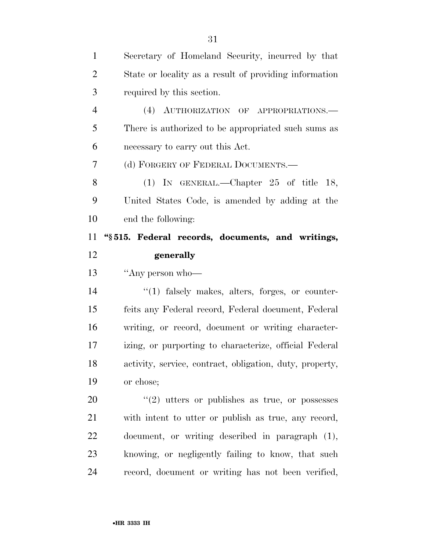| $\mathbf{1}$   | Secretary of Homeland Security, incurred by that         |
|----------------|----------------------------------------------------------|
| $\overline{2}$ | State or locality as a result of providing information   |
| 3              | required by this section.                                |
| $\overline{4}$ | (4) AUTHORIZATION OF APPROPRIATIONS.                     |
| 5              | There is authorized to be appropriated such sums as      |
| 6              | necessary to carry out this Act.                         |
| 7              | (d) FORGERY OF FEDERAL DOCUMENTS.-                       |
| 8              | (1) IN GENERAL.—Chapter $25$ of title 18,                |
| 9              | United States Code, is amended by adding at the          |
| 10             | end the following:                                       |
| 11             | "§515. Federal records, documents, and writings,         |
| 12             | generally                                                |
|                |                                                          |
| 13             | "Any person who-                                         |
| 14             | $\lq(1)$ falsely makes, alters, forges, or counter-      |
| 15             | feits any Federal record, Federal document, Federal      |
| 16             | writing, or record, document or writing character-       |
| 17             | izing, or purporting to characterize, official Federal   |
| 18             | activity, service, contract, obligation, duty, property, |
| 19             | or chose;                                                |
| 20             | $\lq(2)$ utters or publishes as true, or possesses       |
| 21             | with intent to utter or publish as true, any record,     |
| 22             | document, or writing described in paragraph (1),         |
| 23             | knowing, or negligently failing to know, that such       |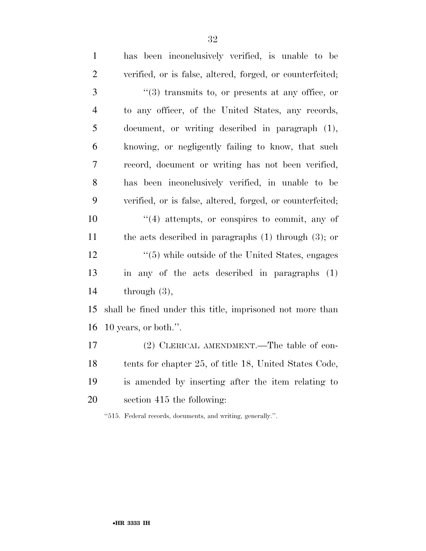| $\mathbf{1}$   | has been inconclusively verified, is unable to be            |
|----------------|--------------------------------------------------------------|
| $\overline{2}$ | verified, or is false, altered, forged, or counterfeited;    |
| 3              | $\cdot\cdot$ (3) transmits to, or presents at any office, or |
| $\overline{4}$ | to any officer, of the United States, any records,           |
| 5              | document, or writing described in paragraph (1),             |
| 6              | knowing, or negligently failing to know, that such           |
| 7              | record, document or writing has not been verified,           |
| 8              | has been inconclusively verified, in unable to be            |
| 9              | verified, or is false, altered, forged, or counterfeited;    |
| 10             | $\cdot$ (4) attempts, or conspires to commit, any of         |
| 11             | the acts described in paragraphs $(1)$ through $(3)$ ; or    |
| 12             | $\cdot$ (5) while outside of the United States, engages      |
| 13             | in any of the acts described in paragraphs (1)               |
| 14             | through $(3)$ ,                                              |
| 15             | shall be fined under this title, imprisoned not more than    |
| 16             | 10 years, or both.".                                         |
| 17             | (2) CLERICAL AMENDMENT.—The table of con-                    |
| 18             | tents for chapter 25, of title 18, United States Code,       |
| 19             | is amended by inserting after the item relating to           |
| 20             | section 415 the following:                                   |
|                |                                                              |

''515. Federal records, documents, and writing, generally.''.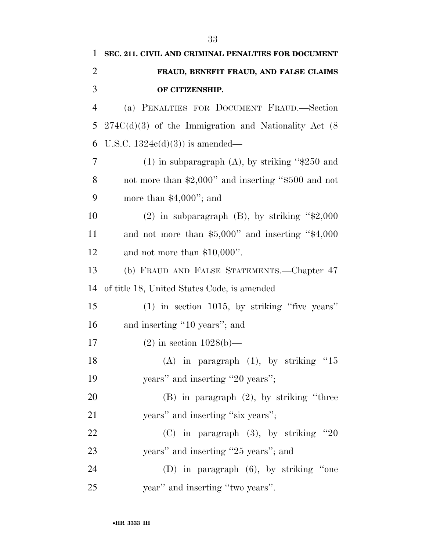| 1              | SEC. 211. CIVIL AND CRIMINAL PENALTIES FOR DOCUMENT     |
|----------------|---------------------------------------------------------|
| $\overline{2}$ | FRAUD, BENEFIT FRAUD, AND FALSE CLAIMS                  |
| 3              | OF CITIZENSHIP.                                         |
| $\overline{4}$ | (a) PENALTIES FOR DOCUMENT FRAUD.-Section               |
| 5              | $274C(d)(3)$ of the Immigration and Nationality Act (8) |
| 6              | U.S.C. $1324e(d)(3)$ is amended—                        |
| $\overline{7}$ | $(1)$ in subparagraph $(A)$ , by striking "\$250 and    |
| 8              | not more than \$2,000" and inserting "\$500 and not     |
| 9              | more than $$4,000$ "; and                               |
| 10             | (2) in subparagraph (B), by striking " $\text{$}2,000$  |
| 11             | and not more than \$5,000" and inserting "\$4,000       |
| 12             | and not more than $$10,000$ ".                          |
| 13             | (b) FRAUD AND FALSE STATEMENTS.—Chapter 47              |
| 14             | of title 18, United States Code, is amended             |
| 15             | $(1)$ in section 1015, by striking "five years"         |
| 16             | and inserting "10 years"; and                           |
| 17             | $(2)$ in section $1028(b)$ —                            |
| 18             | (A) in paragraph $(1)$ , by striking "15                |
| 19             | years" and inserting "20 years";                        |
| 20             | $(B)$ in paragraph $(2)$ , by striking "three           |
| 21             | years" and inserting "six years";                       |
| 22             | $(C)$ in paragraph $(3)$ , by striking "20              |
| 23             | years" and inserting "25 years"; and                    |
| 24             | (D) in paragraph $(6)$ , by striking "one               |
| 25             | year" and inserting "two years".                        |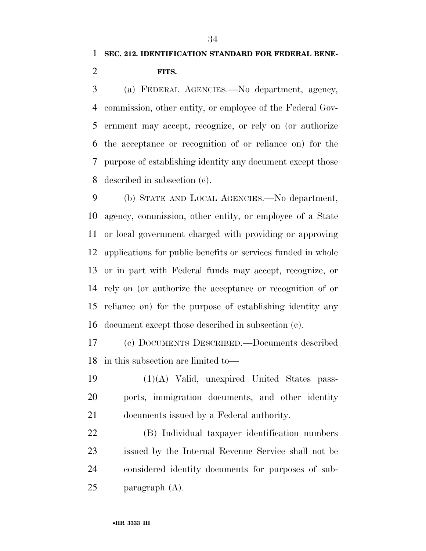# **SEC. 212. IDENTIFICATION STANDARD FOR FEDERAL BENE-FITS.**

 (a) FEDERAL AGENCIES.—No department, agency, commission, other entity, or employee of the Federal Gov- ernment may accept, recognize, or rely on (or authorize the acceptance or recognition of or reliance on) for the purpose of establishing identity any document except those described in subsection (c).

 (b) STATE AND LOCAL AGENCIES.—No department, agency, commission, other entity, or employee of a State or local government charged with providing or approving applications for public benefits or services funded in whole or in part with Federal funds may accept, recognize, or rely on (or authorize the acceptance or recognition of or reliance on) for the purpose of establishing identity any document except those described in subsection (c).

 (c) DOCUMENTS DESCRIBED.—Documents described in this subsection are limited to—

 (1)(A) Valid, unexpired United States pass- ports, immigration documents, and other identity documents issued by a Federal authority.

 (B) Individual taxpayer identification numbers issued by the Internal Revenue Service shall not be considered identity documents for purposes of sub-paragraph (A).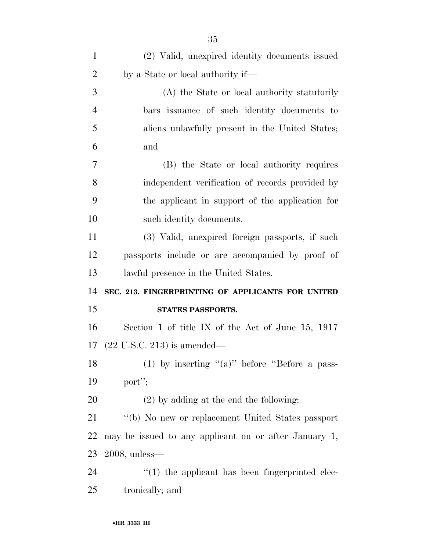| $\mathbf{1}$   | (2) Valid, unexpired identity documents issued        |
|----------------|-------------------------------------------------------|
| $\overline{2}$ | by a State or local authority if—                     |
| 3              | (A) the State or local authority statutorily          |
| $\overline{4}$ | bars issuance of such identity documents to           |
| 5              | aliens unlawfully present in the United States;       |
| 6              | and                                                   |
| 7              | (B) the State or local authority requires             |
| 8              | independent verification of records provided by       |
| 9              | the applicant in support of the application for       |
| 10             | such identity documents.                              |
| 11             | (3) Valid, unexpired foreign passports, if such       |
| 12             | passports include or are accompanied by proof of      |
| 13             | lawful presence in the United States.                 |
| 14             | SEC. 213. FINGERPRINTING OF APPLICANTS FOR UNITED     |
| 15             | STATES PASSPORTS.                                     |
| 16             | Section 1 of title IX of the Act of June 15, $1917$   |
|                | 17 $(22 \text{ U.S.C. } 213)$ is amended—             |
| 18             | (1) by inserting " $(a)$ " before "Before a pass-     |
| 19             | port";                                                |
| 20             | $(2)$ by adding at the end the following:             |
| 21             | "(b) No new or replacement United States passport     |
| <u>22</u>      | may be issued to any applicant on or after January 1, |
| 23             | $2008$ , unless—                                      |
| 24             | $\lq(1)$ the applicant has been fingerprinted elec-   |
|                |                                                       |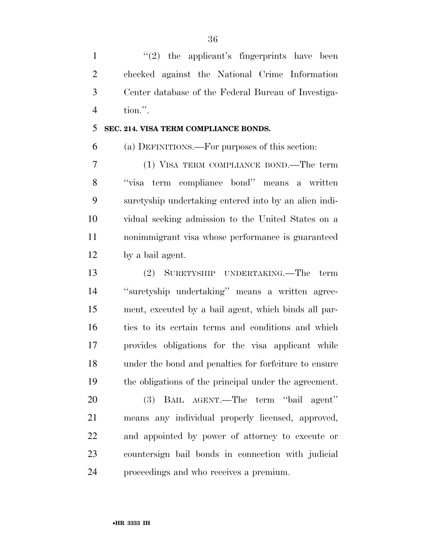$\frac{1}{2}$  the applicant's fingerprints have been checked against the National Crime Information Center database of the Federal Bureau of Investiga-tion.''.

## **SEC. 214. VISA TERM COMPLIANCE BONDS.**

(a) DEFINITIONS.—For purposes of this section:

 (1) VISA TERM COMPLIANCE BOND.—The term ''visa term compliance bond'' means a written suretyship undertaking entered into by an alien indi- vidual seeking admission to the United States on a nonimmigrant visa whose performance is guaranteed by a bail agent.

 (2) SURETYSHIP UNDERTAKING.—The term ''suretyship undertaking'' means a written agree- ment, executed by a bail agent, which binds all par- ties to its certain terms and conditions and which provides obligations for the visa applicant while under the bond and penalties for forfeiture to ensure the obligations of the principal under the agreement.

 (3) BAIL AGENT.—The term ''bail agent'' means any individual properly licensed, approved, and appointed by power of attorney to execute or countersign bail bonds in connection with judicial proceedings and who receives a premium.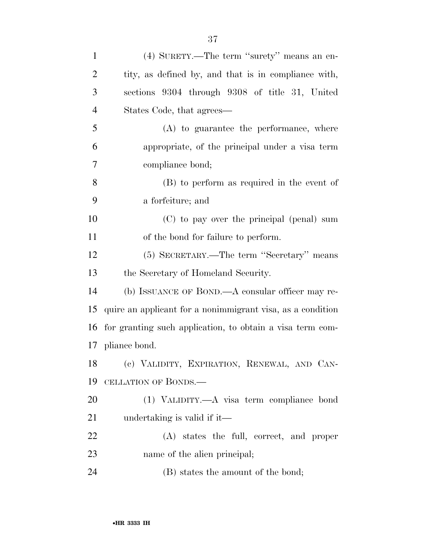| $\mathbf{1}$   | (4) SURETY.—The term "surety" means an en-                 |
|----------------|------------------------------------------------------------|
| $\overline{2}$ | tity, as defined by, and that is in compliance with,       |
| 3              | sections 9304 through 9308 of title 31, United             |
| $\overline{4}$ | States Code, that agrees—                                  |
| 5              | (A) to guarantee the performance, where                    |
| 6              | appropriate, of the principal under a visa term            |
| 7              | compliance bond;                                           |
| 8              | (B) to perform as required in the event of                 |
| 9              | a forfeiture; and                                          |
| 10             | (C) to pay over the principal (penal) sum                  |
| 11             | of the bond for failure to perform.                        |
| 12             | (5) SECRETARY.—The term "Secretary" means                  |
| 13             | the Secretary of Homeland Security.                        |
| 14             | (b) ISSUANCE OF BOND.—A consular officer may re-           |
| 15             | quire an applicant for a nonimmigrant visa, as a condition |
| 16             | for granting such application, to obtain a visa term com-  |
|                | 17 pliance bond.                                           |
| 18             | (c) VALIDITY, EXPIRATION, RENEWAL, AND CAN-                |
| 19             | CELLATION OF BONDS.—                                       |
| 20             | (1) VALIDITY.—A visa term compliance bond                  |
| 21             | undertaking is valid if it—                                |
| 22             | $(A)$ states the full, correct, and proper                 |
| 23             | name of the alien principal;                               |
| 24             | (B) states the amount of the bond;                         |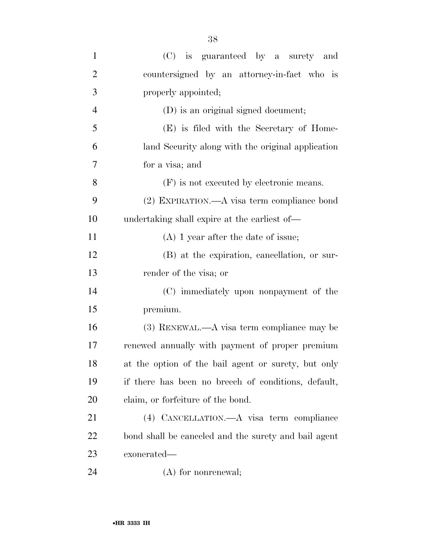| $\mathbf{1}$   | (C) is guaranteed by a surety and                    |
|----------------|------------------------------------------------------|
| $\overline{2}$ | countersigned by an attorney-in-fact who is          |
| 3              | properly appointed;                                  |
| $\overline{4}$ | (D) is an original signed document;                  |
| 5              | (E) is filed with the Secretary of Home-             |
| 6              | land Security along with the original application    |
| 7              | for a visa; and                                      |
| 8              | (F) is not executed by electronic means.             |
| 9              | $(2)$ EXPIRATION.—A visa term compliance bond        |
| 10             | undertaking shall expire at the earliest of—         |
| 11             | $(A)$ 1 year after the date of issue;                |
| 12             | (B) at the expiration, cancellation, or sur-         |
| 13             | render of the visa; or                               |
| 14             | (C) immediately upon nonpayment of the               |
| 15             | premium.                                             |
| 16             | $(3)$ RENEWAL.—A visa term compliance may be         |
| 17             | renewed annually with payment of proper premium      |
| 18             | at the option of the bail agent or surety, but only  |
| 19             | if there has been no breech of conditions, default,  |
| 20             | claim, or forfeiture of the bond.                    |
| 21             | (4) CANCELLATION.—A visa term compliance             |
| 22             | bond shall be canceled and the surety and bail agent |
| 23             | exonerated—                                          |
| 24             | $(A)$ for nonrenewal;                                |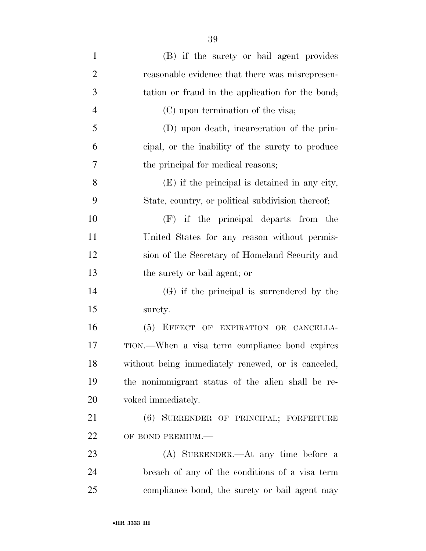| $\mathbf{1}$   | (B) if the surety or bail agent provides           |
|----------------|----------------------------------------------------|
| $\overline{2}$ | reasonable evidence that there was misrepresen-    |
| 3              | tation or fraud in the application for the bond;   |
| $\overline{4}$ | (C) upon termination of the visa;                  |
| 5              | (D) upon death, incarceration of the prin-         |
| 6              | eipal, or the inability of the surety to produce   |
| 7              | the principal for medical reasons;                 |
| 8              | (E) if the principal is detained in any city,      |
| 9              | State, country, or political subdivision thereof;  |
| 10             | $(F)$ if the principal departs from the            |
| 11             | United States for any reason without permis-       |
| 12             | sion of the Secretary of Homeland Security and     |
| 13             | the surety or bail agent; or                       |
| 14             | $(G)$ if the principal is surrendered by the       |
| 15             | surety.                                            |
| 16             | (5) EFFECT OF EXPIRATION OR CANCELLA-              |
| 17             | TION.—When a visa term compliance bond expires     |
| 18             | without being immediately renewed, or is canceled, |
| 19             | the nonimmigrant status of the alien shall be re-  |
| 20             | voked immediately.                                 |
| 21             | (6) SURRENDER OF PRINCIPAL; FORFEITURE             |
| 22             | OF BOND PREMIUM.-                                  |
| 23             | (A) SURRENDER.—At any time before a                |
| 24             | breach of any of the conditions of a visa term     |
| 25             | compliance bond, the surety or bail agent may      |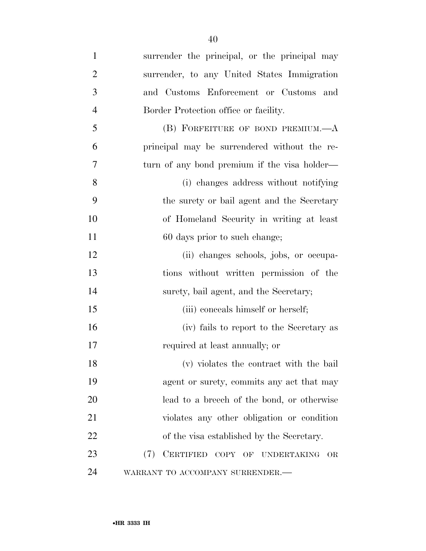| $\mathbf{1}$   | surrender the principal, or the principal may |
|----------------|-----------------------------------------------|
| $\overline{2}$ | surrender, to any United States Immigration   |
| 3              | and Customs Enforcement or Customs and        |
| $\overline{4}$ | Border Protection office or facility.         |
| 5              | (B) FORFEITURE OF BOND PREMIUM.-A             |
| 6              | principal may be surrendered without the re-  |
| 7              | turn of any bond premium if the visa holder—  |
| 8              | (i) changes address without notifying         |
| 9              | the surety or bail agent and the Secretary    |
| 10             | of Homeland Security in writing at least      |
| 11             | 60 days prior to such change;                 |
| 12             | (ii) changes schools, jobs, or occupa-        |
| 13             | tions without written permission of the       |
| 14             | surety, bail agent, and the Secretary;        |
| 15             | (iii) conceals himself or herself;            |
| 16             | (iv) fails to report to the Secretary as      |
| 17             | required at least annually; or                |
| 18             | (v) violates the contract with the bail       |
| 19             | agent or surety, commits any act that may     |
| <b>20</b>      | lead to a breech of the bond, or otherwise    |
| 21             | violates any other obligation or condition    |
| 22             | of the visa established by the Secretary.     |
| 23             | (7)<br>CERTIFIED COPY OF UNDERTAKING<br>OR    |
| 24             | WARRANT TO ACCOMPANY SURRENDER.-              |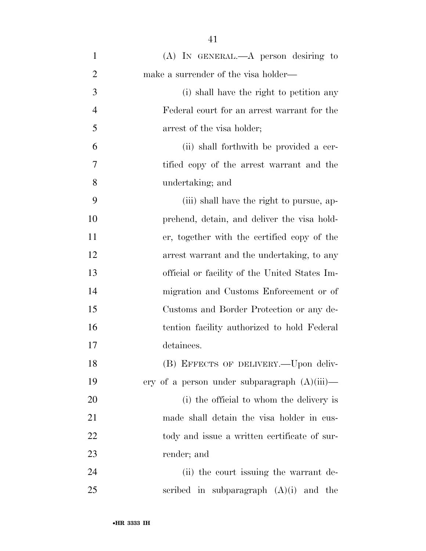| $\mathbf{1}$   | $(A)$ In GENERAL.— $A$ person desiring to       |
|----------------|-------------------------------------------------|
| $\overline{2}$ | make a surrender of the visa holder—            |
| 3              | (i) shall have the right to petition any        |
| $\overline{4}$ | Federal court for an arrest warrant for the     |
| 5              | arrest of the visa holder;                      |
| 6              | (ii) shall forthwith be provided a cer-         |
| 7              | tified copy of the arrest warrant and the       |
| 8              | undertaking; and                                |
| 9              | (iii) shall have the right to pursue, ap-       |
| 10             | prehend, detain, and deliver the visa hold-     |
| 11             | er, together with the certified copy of the     |
| 12             | arrest warrant and the undertaking, to any      |
| 13             | official or facility of the United States Im-   |
| 14             | migration and Customs Enforcement or of         |
| 15             | Customs and Border Protection or any de-        |
| 16             | tention facility authorized to hold Federal     |
| 17             | detainees.                                      |
| 18             | (B) EFFECTS OF DELIVERY.—Upon deliv-            |
| 19             | ery of a person under subparagraph $(A)(iii)$ — |
| 20             | (i) the official to whom the delivery is        |
| 21             | made shall detain the visa holder in cus-       |
| 22             | tody and issue a written certificate of sur-    |
| 23             | render; and                                     |
| 24             | (ii) the court issuing the warrant de-          |
| 25             | scribed in subparagraph $(A)(i)$ and the        |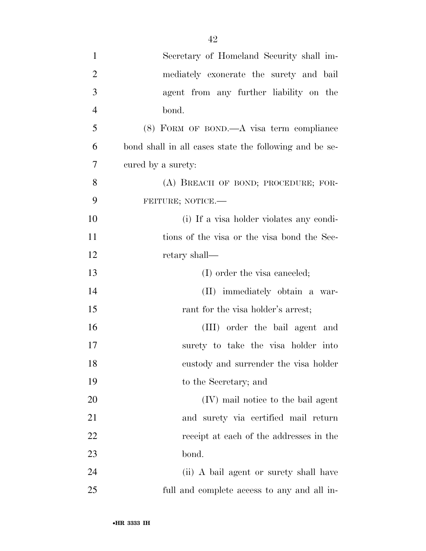| $\mathbf{1}$   | Secretary of Homeland Security shall im-               |
|----------------|--------------------------------------------------------|
| $\overline{2}$ | mediately exonerate the surety and bail                |
| 3              | agent from any further liability on the                |
| $\overline{4}$ | bond.                                                  |
| 5              | $(8)$ FORM OF BOND.—A visa term compliance             |
| 6              | bond shall in all cases state the following and be se- |
| 7              | cured by a surety:                                     |
| 8              | (A) BREACH OF BOND; PROCEDURE; FOR-                    |
| 9              | FEITURE; NOTICE.-                                      |
| 10             | (i) If a visa holder violates any condi-               |
| 11             | tions of the visa or the visa bond the Sec-            |
| 12             | retary shall—                                          |
| 13             | (I) order the visa canceled;                           |
| 14             | (II) immediately obtain a war-                         |
| 15             | rant for the visa holder's arrest;                     |
| 16             | (III) order the bail agent and                         |
| 17             | surety to take the visa holder into                    |
| 18             | custody and surrender the visa holder                  |
| 19             | to the Secretary; and                                  |
| 20             | (IV) mail notice to the bail agent                     |
| 21             | and surety via certified mail return                   |
| 22             | receipt at each of the addresses in the                |
| 23             | bond.                                                  |
| 24             | (ii) A bail agent or surety shall have                 |
| 25             | full and complete access to any and all in-            |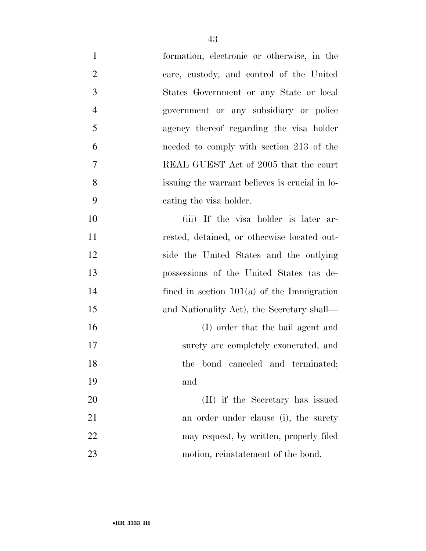| $\mathbf{1}$   | formation, electronic or otherwise, in the   |
|----------------|----------------------------------------------|
| $\overline{2}$ | care, custody, and control of the United     |
| 3              | States Government or any State or local      |
| $\overline{4}$ | government or any subsidiary or police       |
| 5              | agency thereof regarding the visa holder     |
| 6              | needed to comply with section 213 of the     |
| 7              | REAL GUEST Act of 2005 that the court        |
| 8              | is is erucial in lo-                         |
| 9              | cating the visa holder.                      |
| 10             | (iii) If the visa holder is later ar-        |
| 11             | rested, detained, or otherwise located out-  |
| 12             | side the United States and the outlying      |
| 13             | possessions of the United States (as de-     |
| 14             | fined in section $101(a)$ of the Immigration |
| 15             | and Nationality Act), the Secretary shall—   |
| 16             | (I) order that the bail agent and            |
| 17             | surety are completely exonerated, and        |
| 18             | the bond canceled and terminated;            |
| 19             | and                                          |
| 20             | (II) if the Secretary has issued             |
| 21             | an order under clause (i), the surety        |
| 22             | may request, by written, properly filed      |
| 23             | motion, reinstatement of the bond.           |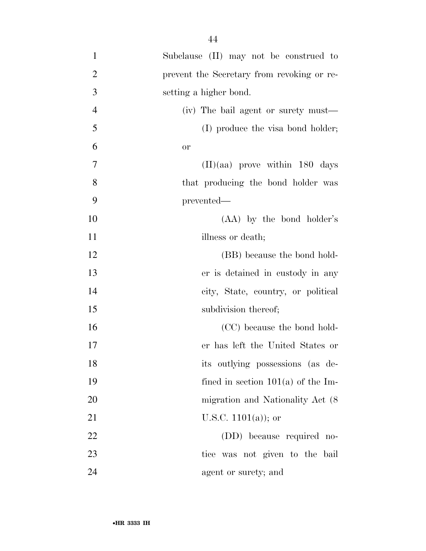- Subclause (II) may not be construed to prevent the Secretary from revoking or re- setting a higher bond. (iv) The bail agent or surety must— 5 (I) produce the visa bond holder; or (II)(aa) prove within 180 days 8 that producing the bond holder was prevented— (AA) by the bond holder's 11 illness or death; 12 (BB) because the bond hold- er is detained in custody in any city, State, country, or political 15 subdivision thereof; 16 (CC) because the bond hold- er has left the United States or its outlying possessions (as de- fined in section 101(a) of the Im-20 migration and Nationality Act (8) 21 U.S.C.  $1101(a)$ ; or (DD) because required no-tice was not given to the bail
- 24 agent or surety; and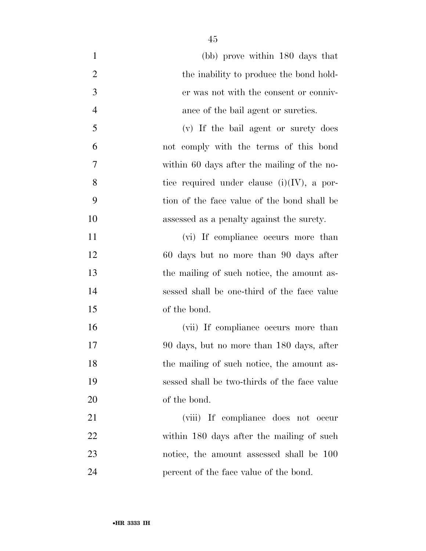| $\mathbf{1}$   | (bb) prove within 180 days that               |
|----------------|-----------------------------------------------|
| $\overline{2}$ | the inability to produce the bond hold-       |
| 3              | er was not with the consent or conniv-        |
| $\overline{4}$ | ance of the bail agent or sureties.           |
| 5              | (v) If the bail agent or surety does          |
| 6              | not comply with the terms of this bond        |
| 7              | within 60 days after the mailing of the no-   |
| 8              | tice required under clause $(i)(IV)$ , a por- |
| 9              | tion of the face value of the bond shall be   |
| 10             | assessed as a penalty against the surety.     |
| 11             | (vi) If compliance occurs more than           |
| 12             | 60 days but no more than 90 days after        |
| 13             | the mailing of such notice, the amount as-    |
| 14             | sessed shall be one-third of the face value   |
| 15             | of the bond.                                  |
| 16             | (vii) If compliance occurs more than          |
| 17             | 90 days, but no more than 180 days, after     |
| 18             | the mailing of such notice, the amount as-    |
| 19             | sessed shall be two-thirds of the face value  |
| 20             | of the bond.                                  |
| 21             | (viii) If compliance does not occur           |
| 22             | within 180 days after the mailing of such     |
| 23             | notice, the amount assessed shall be 100      |
| 24             | percent of the face value of the bond.        |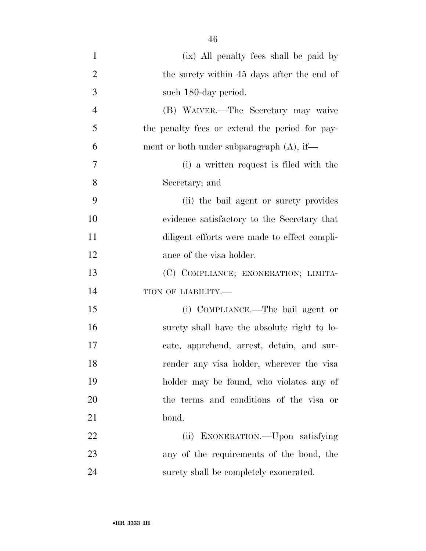| $\mathbf{1}$   | (ix) All penalty fees shall be paid by         |
|----------------|------------------------------------------------|
| $\overline{2}$ | the surety within 45 days after the end of     |
| 3              | such 180-day period.                           |
| $\overline{4}$ | (B) WAIVER.—The Secretary may waive            |
| 5              | the penalty fees or extend the period for pay- |
| 6              | ment or both under subparagraph $(A)$ , if—    |
| 7              | (i) a written request is filed with the        |
| 8              | Secretary; and                                 |
| 9              | (ii) the bail agent or surety provides         |
| 10             | evidence satisfactory to the Secretary that    |
| 11             | diligent efforts were made to effect compli-   |
| 12             | ance of the visa holder.                       |
| 13             | (C) COMPLIANCE; EXONERATION; LIMITA-           |
| 14             | TION OF LIABILITY.-                            |
| 15             | (i) COMPLIANCE.—The bail agent or              |
| 16             | surety shall have the absolute right to lo-    |
| 17             | cate, apprehend, arrest, detain, and sur-      |
| 18             | render any visa holder, wherever the visa      |
| 19             | holder may be found, who violates any of       |
| 20             | the terms and conditions of the visa or        |
| 21             | bond.                                          |
| 22             | (ii) EXONERATION.—Upon satisfying              |
| 23             | any of the requirements of the bond, the       |
| 24             | surety shall be completely exonerated.         |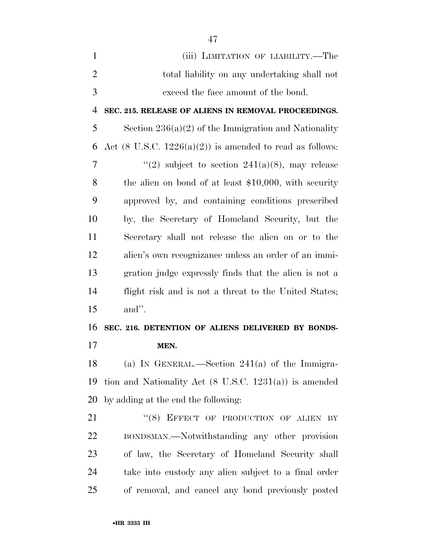| $\mathbf{1}$   | (iii) LIMITATION OF LIABILITY.—The                                  |
|----------------|---------------------------------------------------------------------|
| $\overline{2}$ | total liability on any undertaking shall not                        |
| 3              | exceed the face amount of the bond.                                 |
| 4              | SEC. 215. RELEASE OF ALIENS IN REMOVAL PROCEEDINGS.                 |
| 5              | Section $236(a)(2)$ of the Immigration and Nationality              |
| 6              | Act $(8 \text{ U.S.C. } 1226(a)(2))$ is amended to read as follows: |
| 7              | "(2) subject to section $241(a)(8)$ , may release                   |
| 8              | the alien on bond of at least $$10,000$ , with security             |
| 9              | approved by, and containing conditions prescribed                   |
| 10             | by, the Secretary of Homeland Security, but the                     |
| 11             | Secretary shall not release the alien on or to the                  |
| 12             | alien's own recognizance unless an order of an immi-                |
| 13             | gration judge expressly finds that the alien is not a               |
| 14             | flight risk and is not a threat to the United States;               |
| 15             | and".                                                               |
| 16             | SEC. 216. DETENTION OF ALIENS DELIVERED BY BONDS-                   |
| 17             | MEN.                                                                |
| 18             | (a) IN GENERAL.—Section $241(a)$ of the Immigra-                    |
| 19             | tion and Nationality Act $(8 \text{ U.S.C. } 1231(a))$ is amended   |
| 20             | by adding at the end the following:                                 |
| 21             | "(8) EFFECT OF PRODUCTION OF ALIEN BY                               |
| 22             | BONDSMAN.—Notwithstanding any other provision                       |

 of law, the Secretary of Homeland Security shall take into custody any alien subject to a final order of removal, and cancel any bond previously posted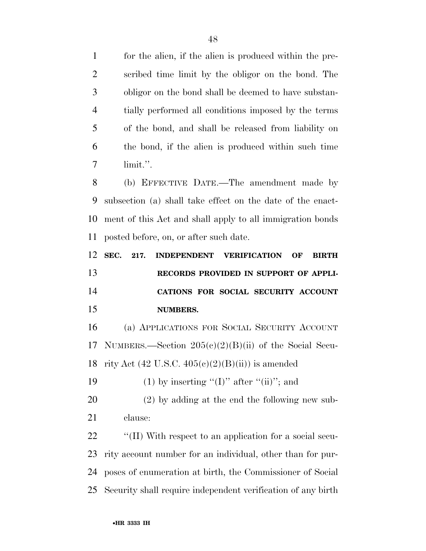for the alien, if the alien is produced within the pre- scribed time limit by the obligor on the bond. The obligor on the bond shall be deemed to have substan- tially performed all conditions imposed by the terms of the bond, and shall be released from liability on the bond, if the alien is produced within such time limit.''.

 (b) EFFECTIVE DATE.—The amendment made by subsection (a) shall take effect on the date of the enact- ment of this Act and shall apply to all immigration bonds posted before, on, or after such date.

 **SEC. 217. INDEPENDENT VERIFICATION OF BIRTH RECORDS PROVIDED IN SUPPORT OF APPLI- CATIONS FOR SOCIAL SECURITY ACCOUNT NUMBERS.** 

 (a) APPLICATIONS FOR SOCIAL SECURITY ACCOUNT NUMBERS.—Section 205(c)(2)(B)(ii) of the Social Secu-18 rity Act  $(42 \text{ U.S.C. } 405 \text{ (c)}(2) \text{ (B)}(\text{ii}))$  is amended

19 (1) by inserting " $(I)$ " after " $(ii)$ "; and

 (2) by adding at the end the following new sub-clause:

 $\cdot$  "(II) With respect to an application for a social secu- rity account number for an individual, other than for pur- poses of enumeration at birth, the Commissioner of Social Security shall require independent verification of any birth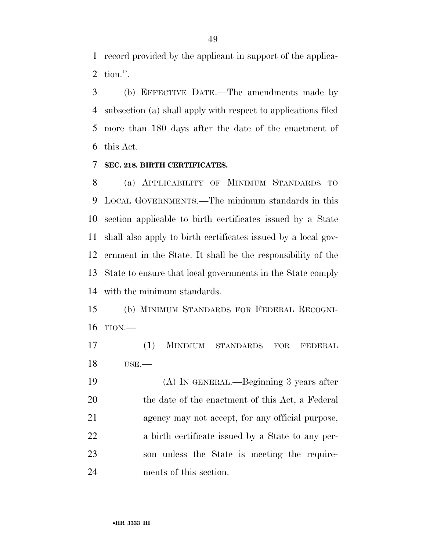record provided by the applicant in support of the applica-tion.''.

 (b) EFFECTIVE DATE.—The amendments made by subsection (a) shall apply with respect to applications filed more than 180 days after the date of the enactment of this Act.

#### **SEC. 218. BIRTH CERTIFICATES.**

 (a) APPLICABILITY OF MINIMUM STANDARDS TO LOCAL GOVERNMENTS.—The minimum standards in this section applicable to birth certificates issued by a State shall also apply to birth certificates issued by a local gov- ernment in the State. It shall be the responsibility of the State to ensure that local governments in the State comply with the minimum standards.

 (b) MINIMUM STANDARDS FOR FEDERAL RECOGNI-TION.—

 (1) MINIMUM STANDARDS FOR FEDERAL USE.—

 (A) IN GENERAL.—Beginning 3 years after 20 the date of the enactment of this Act, a Federal agency may not accept, for any official purpose, a birth certificate issued by a State to any per- son unless the State is meeting the require-ments of this section.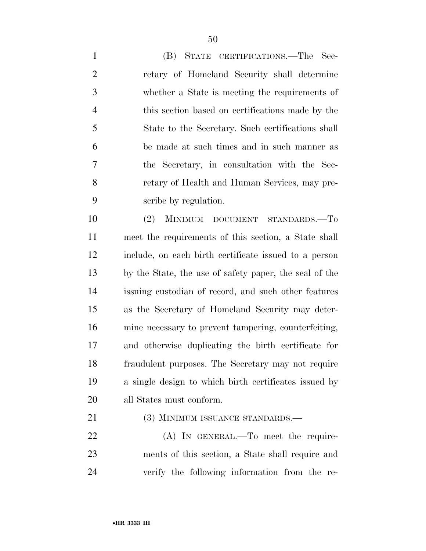(B) STATE CERTIFICATIONS.—The Sec- retary of Homeland Security shall determine whether a State is meeting the requirements of this section based on certifications made by the State to the Secretary. Such certifications shall be made at such times and in such manner as the Secretary, in consultation with the Sec- retary of Health and Human Services, may pre-scribe by regulation.

 (2) MINIMUM DOCUMENT STANDARDS.—To meet the requirements of this section, a State shall include, on each birth certificate issued to a person by the State, the use of safety paper, the seal of the issuing custodian of record, and such other features as the Secretary of Homeland Security may deter- mine necessary to prevent tampering, counterfeiting, and otherwise duplicating the birth certificate for fraudulent purposes. The Secretary may not require a single design to which birth certificates issued by all States must conform.

21 (3) MINIMUM ISSUANCE STANDARDS.—

22 (A) IN GENERAL.—To meet the require- ments of this section, a State shall require and verify the following information from the re-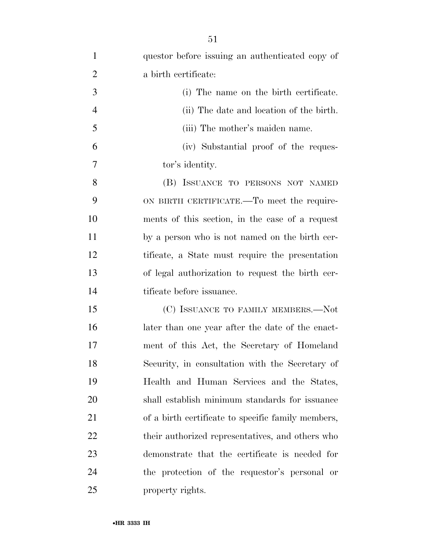| $\mathbf{1}$   | questor before issuing an authenticated copy of    |
|----------------|----------------------------------------------------|
| $\overline{2}$ | a birth certificate:                               |
| 3              | (i) The name on the birth certificate.             |
| $\overline{4}$ | (ii) The date and location of the birth.           |
| 5              | (iii) The mother's maiden name.                    |
| 6              | (iv) Substantial proof of the reques-              |
| 7              | tor's identity.                                    |
| 8              | (B) ISSUANCE TO PERSONS NOT NAMED                  |
| 9              | ON BIRTH CERTIFICATE.—To meet the require-         |
| 10             | ments of this section, in the case of a request    |
| 11             | by a person who is not named on the birth cer-     |
| 12             | tificate, a State must require the presentation    |
| 13             | of legal authorization to request the birth cer-   |
| 14             | tificate before issuance.                          |
| 15             | (C) ISSUANCE TO FAMILY MEMBERS.-Not                |
| 16             | later than one year after the date of the enact-   |
| 17             | ment of this Act, the Secretary of Homeland        |
| 18             | Security, in consultation with the Secretary of    |
| 19             | Health and Human Services and the States,          |
| 20             | shall establish minimum standards for issuance     |
| 21             | of a birth certificate to specific family members, |
| 22             | their authorized representatives, and others who   |
| 23             | demonstrate that the certificate is needed for     |
| 24             | the protection of the requestor's personal or      |
| 25             | property rights.                                   |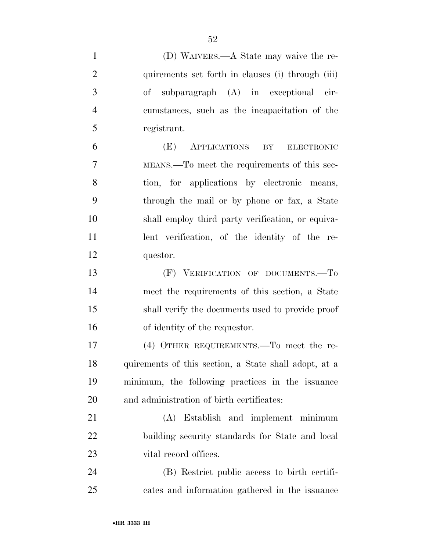| $\mathbf{1}$   | (D) WAIVERS.—A State may waive the re-                |
|----------------|-------------------------------------------------------|
| $\overline{2}$ | quirements set forth in clauses (i) through (iii)     |
| 3              | subparagraph (A) in exceptional cir-<br>of            |
| $\overline{4}$ | cumstances, such as the incapacitation of the         |
| 5              | registrant.                                           |
| 6              | APPLICATIONS<br>(E)<br>BY<br><b>ELECTRONIC</b>        |
| $\overline{7}$ | MEANS.—To meet the requirements of this sec-          |
| 8              | tion, for applications by electronic means,           |
| 9              | through the mail or by phone or fax, a State          |
| 10             | shall employ third party verification, or equiva-     |
| 11             | lent verification, of the identity of the re-         |
| 12             | questor.                                              |
| 13             | (F) VERIFICATION OF DOCUMENTS.-To                     |
| 14             | meet the requirements of this section, a State        |
| 15             | shall verify the documents used to provide proof      |
| 16             | of identity of the requestor.                         |
| 17             | $(4)$ OTHER REQUIREMENTS.—To meet the re-             |
| 18             | quirements of this section, a State shall adopt, at a |
| 19             | minimum, the following practices in the issuance      |
| 20             | and administration of birth certificates:             |
| 21             | (A) Establish and implement minimum                   |
| 22             | building security standards for State and local       |
| 23             | vital record offices.                                 |
| 24             | (B) Restrict public access to birth certifi-          |
| 25             | cates and information gathered in the issuance        |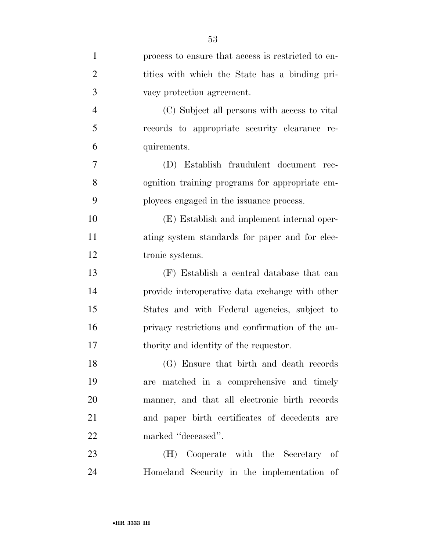| $\mathbf{1}$   | process to ensure that access is restricted to en- |
|----------------|----------------------------------------------------|
| $\overline{2}$ | tities with which the State has a binding pri-     |
| 3              | vacy protection agreement.                         |
| $\overline{4}$ | (C) Subject all persons with access to vital       |
| 5              | records to appropriate security clearance re-      |
| 6              | quirements.                                        |
| 7              | (D) Establish fraudulent document rec-             |
| 8              | ognition training programs for appropriate em-     |
| 9              | ployees engaged in the issuance process.           |
| 10             | (E) Establish and implement internal oper-         |
| 11             | ating system standards for paper and for elec-     |
| 12             | tronic systems.                                    |
| 13             | (F) Establish a central database that can          |
| 14             | provide interoperative data exchange with other    |
| 15             | States and with Federal agencies, subject to       |
| 16             | privacy restrictions and confirmation of the au-   |
| 17             | thority and identity of the requestor.             |
| 18             | (G) Ensure that birth and death records            |
| 19             | are matched in a comprehensive and timely          |
| 20             | manner, and that all electronic birth records      |
| 21             | and paper birth certificates of decedents are      |
| 22             | marked "deceased".                                 |
| 23             | (H) Cooperate with the Secretary of                |
| 24             | Homeland Security in the implementation of         |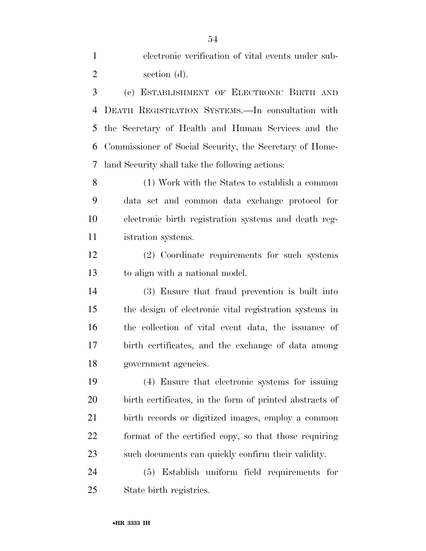electronic verification of vital events under sub-section (d).

 (c) ESTABLISHMENT OF ELECTRONIC BIRTH AND DEATH REGISTRATION SYSTEMS.—In consultation with the Secretary of Health and Human Services and the Commissioner of Social Security, the Secretary of Home-land Security shall take the following actions:

 (1) Work with the States to establish a common data set and common data exchange protocol for electronic birth registration systems and death reg-istration systems.

 (2) Coordinate requirements for such systems to align with a national model.

 (3) Ensure that fraud prevention is built into the design of electronic vital registration systems in the collection of vital event data, the issuance of birth certificates, and the exchange of data among government agencies.

 (4) Ensure that electronic systems for issuing birth certificates, in the form of printed abstracts of birth records or digitized images, employ a common format of the certified copy, so that those requiring such documents can quickly confirm their validity.

 (5) Establish uniform field requirements for State birth registries.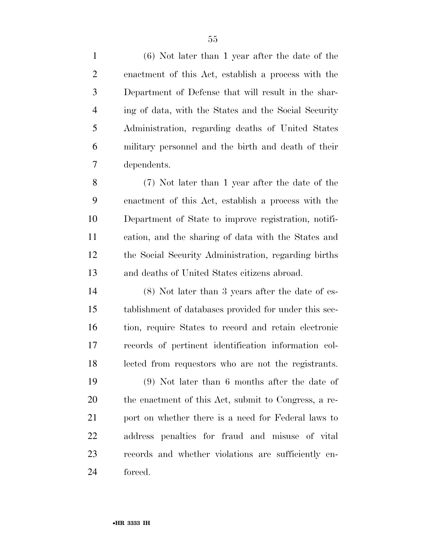(6) Not later than 1 year after the date of the enactment of this Act, establish a process with the Department of Defense that will result in the shar- ing of data, with the States and the Social Security Administration, regarding deaths of United States military personnel and the birth and death of their dependents.

 (7) Not later than 1 year after the date of the enactment of this Act, establish a process with the Department of State to improve registration, notifi- cation, and the sharing of data with the States and the Social Security Administration, regarding births and deaths of United States citizens abroad.

 (8) Not later than 3 years after the date of es- tablishment of databases provided for under this sec- tion, require States to record and retain electronic records of pertinent identification information col-lected from requestors who are not the registrants.

 (9) Not later than 6 months after the date of the enactment of this Act, submit to Congress, a re-21 port on whether there is a need for Federal laws to address penalties for fraud and misuse of vital records and whether violations are sufficiently en-forced.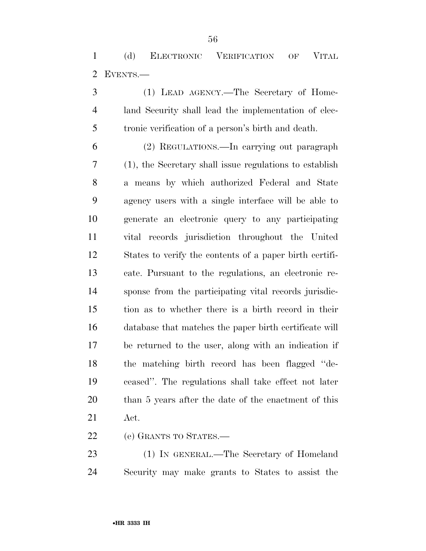(d) ELECTRONIC VERIFICATION OF VITAL EVENTS.—

 (1) LEAD AGENCY.—The Secretary of Home- land Security shall lead the implementation of elec-tronic verification of a person's birth and death.

 (2) REGULATIONS.—In carrying out paragraph (1), the Secretary shall issue regulations to establish a means by which authorized Federal and State agency users with a single interface will be able to generate an electronic query to any participating vital records jurisdiction throughout the United States to verify the contents of a paper birth certifi- cate. Pursuant to the regulations, an electronic re- sponse from the participating vital records jurisdic- tion as to whether there is a birth record in their database that matches the paper birth certificate will be returned to the user, along with an indication if the matching birth record has been flagged ''de- ceased''. The regulations shall take effect not later than 5 years after the date of the enactment of this Act.

(e) GRANTS TO STATES.—

 (1) IN GENERAL.—The Secretary of Homeland Security may make grants to States to assist the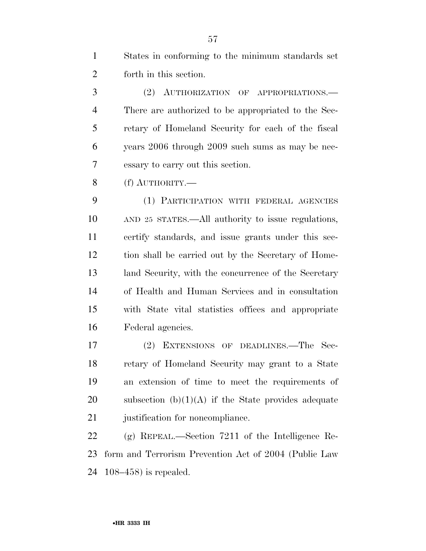States in conforming to the minimum standards set forth in this section.

 (2) AUTHORIZATION OF APPROPRIATIONS.— There are authorized to be appropriated to the Sec- retary of Homeland Security for each of the fiscal years 2006 through 2009 such sums as may be nec-essary to carry out this section.

(f) AUTHORITY.—

 (1) PARTICIPATION WITH FEDERAL AGENCIES AND 25 STATES.—All authority to issue regulations, certify standards, and issue grants under this sec- tion shall be carried out by the Secretary of Home- land Security, with the concurrence of the Secretary of Health and Human Services and in consultation with State vital statistics offices and appropriate Federal agencies.

 (2) EXTENSIONS OF DEADLINES.—The Sec- retary of Homeland Security may grant to a State an extension of time to meet the requirements of 20 subsection  $(b)(1)(A)$  if the State provides adequate 21 justification for noncompliance.

 (g) REPEAL.—Section 7211 of the Intelligence Re- form and Terrorism Prevention Act of 2004 (Public Law 108–458) is repealed.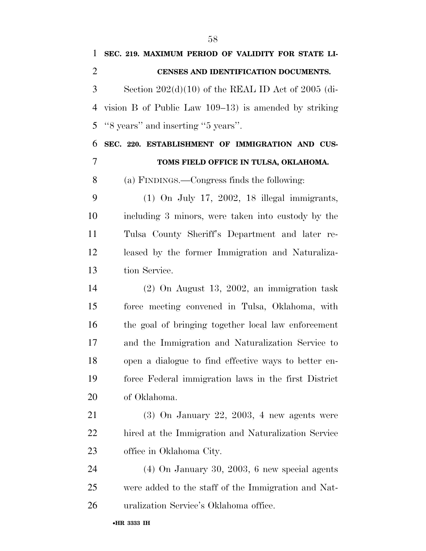**SEC. 219. MAXIMUM PERIOD OF VALIDITY FOR STATE LI- CENSES AND IDENTIFICATION DOCUMENTS.**  Section 202(d)(10) of the REAL ID Act of 2005 (di- vision B of Public Law 109–13) is amended by striking ''8 years'' and inserting ''5 years''. **SEC. 220. ESTABLISHMENT OF IMMIGRATION AND CUS- TOMS FIELD OFFICE IN TULSA, OKLAHOMA.**  (a) FINDINGS.—Congress finds the following: (1) On July 17, 2002, 18 illegal immigrants, including 3 minors, were taken into custody by the Tulsa County Sheriff's Department and later re- leased by the former Immigration and Naturaliza- tion Service. (2) On August 13, 2002, an immigration task force meeting convened in Tulsa, Oklahoma, with the goal of bringing together local law enforcement and the Immigration and Naturalization Service to open a dialogue to find effective ways to better en-

 force Federal immigration laws in the first District of Oklahoma. (3) On January 22, 2003, 4 new agents were hired at the Immigration and Naturalization Service

 (4) On January 30, 2003, 6 new special agents were added to the staff of the Immigration and Nat-uralization Service's Oklahoma office.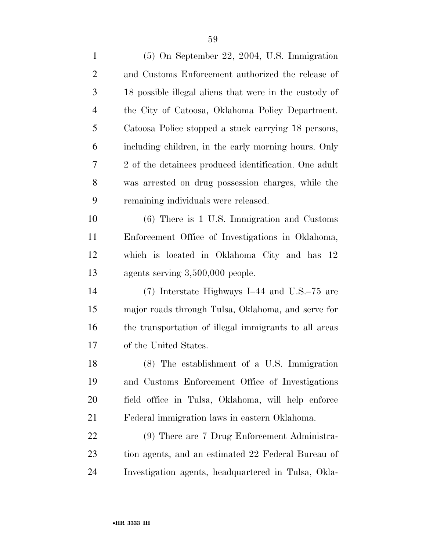| $\mathbf{1}$   | $(5)$ On September 22, 2004, U.S. Immigration          |
|----------------|--------------------------------------------------------|
| $\overline{2}$ | and Customs Enforcement authorized the release of      |
| 3              | 18 possible illegal aliens that were in the custody of |
| 4              | the City of Catoosa, Oklahoma Policy Department.       |
| 5              | Catoosa Police stopped a stuck carrying 18 persons,    |
| 6              | including children, in the early morning hours. Only   |
| 7              | 2 of the detainees produced identification. One adult  |
| 8              | was arrested on drug possession charges, while the     |
| 9              | remaining individuals were released.                   |
| 10             | $(6)$ There is 1 U.S. Immigration and Customs          |
| 11             | Enforcement Office of Investigations in Oklahoma,      |
| 12             | which is located in Oklahoma City and has 12           |
| 13             | agents serving $3,500,000$ people.                     |
| 14             | $(7)$ Interstate Highways I-44 and U.S.–75 are         |
| 15             | major roads through Tulsa, Oklahoma, and serve for     |
| 16             | the transportation of illegal immigrants to all areas  |
| 17             | of the United States.                                  |
| 18             | (8) The establishment of a U.S. Immigration            |
| 19             | and Customs Enforcement Office of Investigations       |
| <b>20</b>      | field office in Tulsa, Oklahoma, will help enforce     |
| 21             | Federal immigration laws in eastern Oklahoma.          |
| 22             | (9) There are 7 Drug Enforcement Administra-           |
| 23             | tion agents, and an estimated 22 Federal Bureau of     |
| 24             | Investigation agents, headquartered in Tulsa, Okla-    |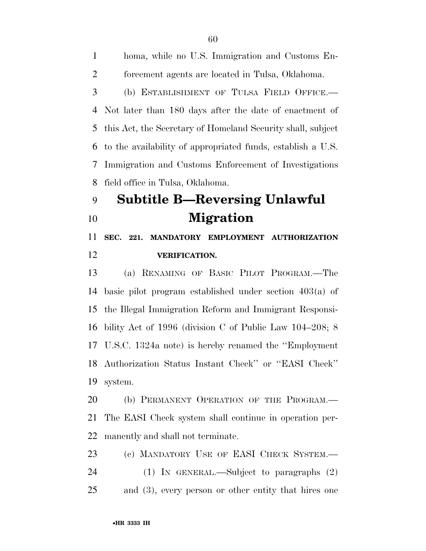homa, while no U.S. Immigration and Customs En- forcement agents are located in Tulsa, Oklahoma. (b) ESTABLISHMENT OF TULSA FIELD OFFICE.— Not later than 180 days after the date of enactment of this Act, the Secretary of Homeland Security shall, subject to the availability of appropriated funds, establish a U.S. Immigration and Customs Enforcement of Investigations field office in Tulsa, Oklahoma. **Subtitle B—Reversing Unlawful Migration** 

 **SEC. 221. MANDATORY EMPLOYMENT AUTHORIZATION VERIFICATION.** 

 (a) RENAMING OF BASIC PILOT PROGRAM.—The basic pilot program established under section 403(a) of the Illegal Immigration Reform and Immigrant Responsi- bility Act of 1996 (division C of Public Law 104–208; 8 U.S.C. 1324a note) is hereby renamed the ''Employment Authorization Status Instant Check'' or ''EASI Check'' system.

20 (b) PERMANENT OPERATION OF THE PROGRAM.— The EASI Check system shall continue in operation per-manently and shall not terminate.

 (c) MANDATORY USE OF EASI CHECK SYSTEM.— (1) IN GENERAL.—Subject to paragraphs (2) and (3), every person or other entity that hires one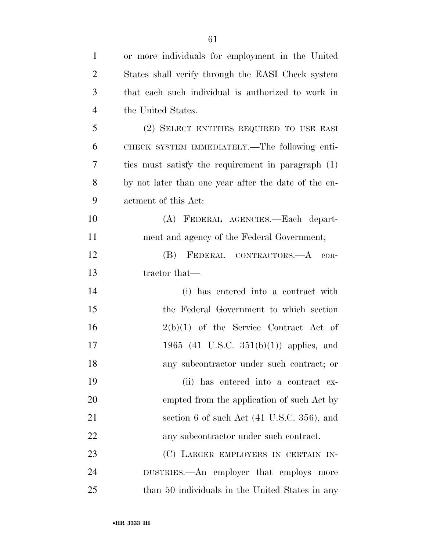| $\mathbf{1}$   | or more individuals for employment in the United     |
|----------------|------------------------------------------------------|
| $\overline{2}$ | States shall verify through the EASI Check system    |
| 3              | that each such individual is authorized to work in   |
| $\overline{4}$ | the United States.                                   |
| 5              | (2) SELECT ENTITIES REQUIRED TO USE EASI             |
| 6              | CHECK SYSTEM IMMEDIATELY.—The following enti-        |
| 7              | ties must satisfy the requirement in paragraph (1)   |
| 8              | by not later than one year after the date of the en- |
| 9              | actment of this Act:                                 |
| 10             | (A) FEDERAL AGENCIES.—Each depart-                   |
| 11             | ment and agency of the Federal Government;           |
| 12             | FEDERAL CONTRACTORS.- A con-<br>(B)                  |
| 13             | tractor that—                                        |
| 14             | (i) has entered into a contract with                 |
| 15             | the Federal Government to which section              |
| 16             | $2(b)(1)$ of the Service Contract Act of             |
| 17             | 1965 (41 U.S.C. 351(b)(1)) applies, and              |
| 18             | any subcontractor under such contract; or            |
| 19             | (ii) has entered into a contract ex-                 |
| 20             | empted from the application of such Act by           |
| 21             | section 6 of such Act (41 U.S.C. 356), and           |
| 22             | any subcontractor under such contract.               |
| 23             | (C) LARGER EMPLOYERS IN CERTAIN IN-                  |
| 24             | DUSTRIES.—An employer that employs more              |
| 25             | than 50 individuals in the United States in any      |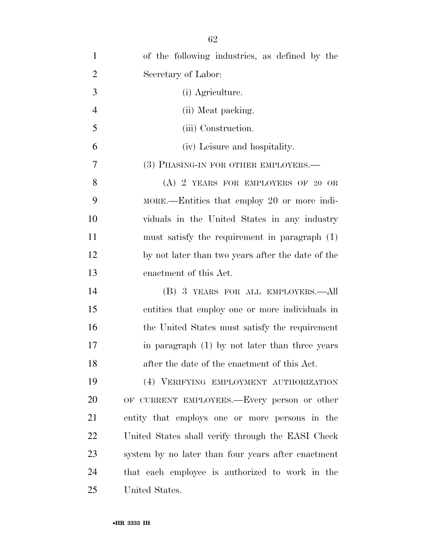| $\mathbf{1}$   | of the following industries, as defined by the     |
|----------------|----------------------------------------------------|
| $\overline{2}$ | Secretary of Labor:                                |
| 3              | (i) Agriculture.                                   |
| $\overline{4}$ | (ii) Meat packing.                                 |
| 5              | (iii) Construction.                                |
| 6              | (iv) Leisure and hospitality.                      |
| 7              | (3) PHASING-IN FOR OTHER EMPLOYERS.—               |
| 8              | $(A)$ 2 YEARS FOR EMPLOYERS OF 20 OR               |
| 9              | MORE.—Entities that employ 20 or more indi-        |
| 10             | viduals in the United States in any industry       |
| 11             | must satisfy the requirement in paragraph (1)      |
| 12             | by not later than two years after the date of the  |
| 13             | enactment of this Act.                             |
| 14             | (B) 3 YEARS FOR ALL EMPLOYERS.—All                 |
| 15             | entities that employ one or more individuals in    |
| 16             | the United States must satisfy the requirement     |
| 17             | in paragraph $(1)$ by not later than three years   |
| 18             | after the date of the enactment of this Act.       |
| 19             | (4) VERIFYING EMPLOYMENT AUTHORIZATION             |
| 20             | OF CURRENT EMPLOYEES.—Every person or other        |
| 21             | entity that employs one or more persons in the     |
| 22             | United States shall verify through the EASI Check  |
| 23             | system by no later than four years after enactment |
| 24             | that each employee is authorized to work in the    |
| 25             | United States.                                     |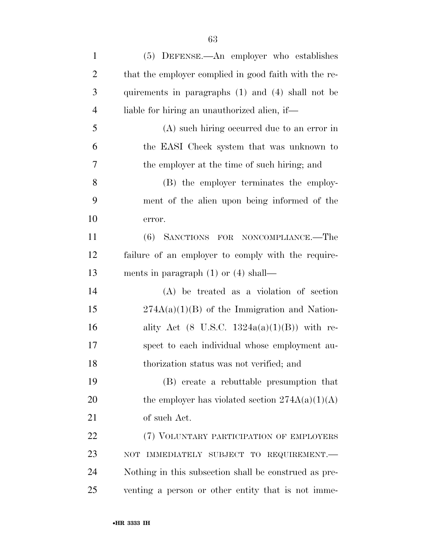| $\mathbf{1}$   | (5) DEFENSE.—An employer who establishes                |
|----------------|---------------------------------------------------------|
| $\overline{c}$ | that the employer complied in good faith with the re-   |
| 3              | quirements in paragraphs (1) and (4) shall not be       |
| $\overline{4}$ | liable for hiring an unauthorized alien, if—            |
| 5              | (A) such hiring occurred due to an error in             |
| 6              | the EASI Check system that was unknown to               |
| 7              | the employer at the time of such hiring; and            |
| 8              | (B) the employer terminates the employ-                 |
| 9              | ment of the alien upon being informed of the            |
| 10             | error.                                                  |
| 11             | (6) SANCTIONS FOR NONCOMPLIANCE.—The                    |
| 12             | failure of an employer to comply with the require-      |
| 13             | ments in paragraph $(1)$ or $(4)$ shall—                |
| 14             | $(A)$ be treated as a violation of section              |
| 15             | $274A(a)(1)(B)$ of the Immigration and Nation-          |
| 16             | ality Act $(8 \text{ U.S.C. } 1324a(a)(1)(B))$ with re- |
| 17             | spect to each individual whose employment au-           |
| 18             | thorization status was not verified; and                |
| 19             | (B) create a rebuttable presumption that                |
| 20             | the employer has violated section $274A(a)(1)(A)$       |
| 21             | of such Act.                                            |
| 22             | (7) VOLUNTARY PARTICIPATION OF EMPLOYERS                |
| 23             | IMMEDIATELY SUBJECT TO REQUIREMENT.<br><b>NOT</b>       |
| 24             | Nothing in this subsection shall be construed as pre-   |
| 25             | venting a person or other entity that is not imme-      |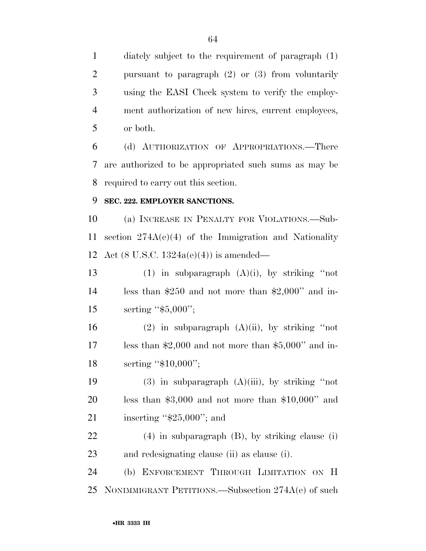diately subject to the requirement of paragraph (1) pursuant to paragraph (2) or (3) from voluntarily using the EASI Check system to verify the employ- ment authorization of new hires, current employees, or both.

 (d) AUTHORIZATION OF APPROPRIATIONS.—There are authorized to be appropriated such sums as may be required to carry out this section.

### **SEC. 222. EMPLOYER SANCTIONS.**

 (a) INCREASE IN PENALTY FOR VIOLATIONS.—Sub- section 274A(e)(4) of the Immigration and Nationality Act (8 U.S.C. 1324a(e)(4)) is amended—

13 (1) in subparagraph  $(A)(i)$ , by striking "not less than \$250 and not more than \$2,000'' and in-15 serting "\$5,000";

16 (2) in subparagraph  $(A)(ii)$ , by striking "not less than \$2,000 and not more than \$5,000'' and in-18 serting "\$10,000";

19 (3) in subparagraph  $(A)(iii)$ , by striking "not less than \$3,000 and not more than \$10,000'' and 21 inserting "\$25,000"; and

 (4) in subparagraph (B), by striking clause (i) and redesignating clause (ii) as clause (i).

 (b) ENFORCEMENT THROUGH LIMITATION ON H NONIMMIGRANT PETITIONS.—Subsection 274A(e) of such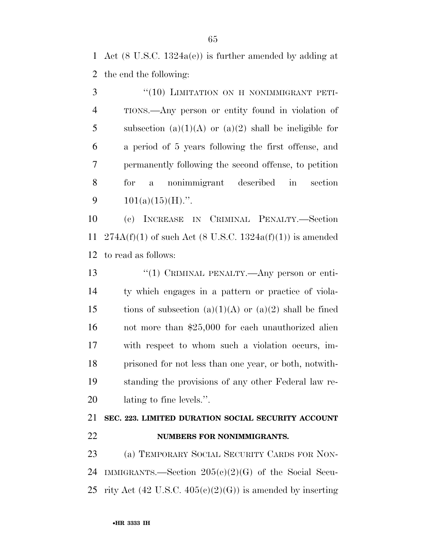Act (8 U.S.C. 1324a(e)) is further amended by adding at the end the following:

3 "(10) LIMITATION ON H NONIMMIGRANT PETI- TIONS.—Any person or entity found in violation of 5 subsection (a)(1)(A) or (a)(2) shall be ineligible for a period of 5 years following the first offense, and permanently following the second offense, to petition for a nonimmigrant described in section  $101(a)(15)(H)$ .".

 (c) INCREASE IN CRIMINAL PENALTY.—Section 11 274A(f)(1) of such Act (8 U.S.C. 1324a(f)(1)) is amended to read as follows:

13 "(1) CRIMINAL PENALTY.—Any person or enti- ty which engages in a pattern or practice of viola-15 tions of subsection  $(a)(1)(A)$  or  $(a)(2)$  shall be fined not more than \$25,000 for each unauthorized alien with respect to whom such a violation occurs, im- prisoned for not less than one year, or both, notwith- standing the provisions of any other Federal law re-lating to fine levels.''.

## **SEC. 223. LIMITED DURATION SOCIAL SECURITY ACCOUNT NUMBERS FOR NONIMMIGRANTS.**

 (a) TEMPORARY SOCIAL SECURITY CARDS FOR NON- IMMIGRANTS.—Section 205(c)(2)(G) of the Social Secu-25 rity Act (42 U.S.C.  $405(c)(2)(G)$ ) is amended by inserting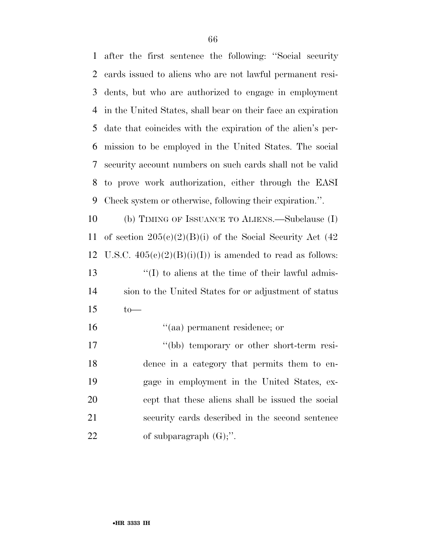after the first sentence the following: ''Social security cards issued to aliens who are not lawful permanent resi- dents, but who are authorized to engage in employment in the United States, shall bear on their face an expiration date that coincides with the expiration of the alien's per- mission to be employed in the United States. The social security account numbers on such cards shall not be valid to prove work authorization, either through the EASI Check system or otherwise, following their expiration.''.

 (b) TIMING OF ISSUANCE TO ALIENS.—Subclause (I) 11 of section  $205(c)(2)(B)(i)$  of the Social Security Act (42) 12 U.S.C.  $405(e)(2)(B)(i)(I))$  is amended to read as follows: 13  $\langle f(\mathbf{I})\rangle$  to aliens at the time of their lawful admis- sion to the United States for or adjustment of status to—

 ''(aa) permanent residence; or ''(bb) temporary or other short-term resi- dence in a category that permits them to en- gage in employment in the United States, ex- cept that these aliens shall be issued the social security cards described in the second sentence 22 of subparagraph  $(G)$ ;".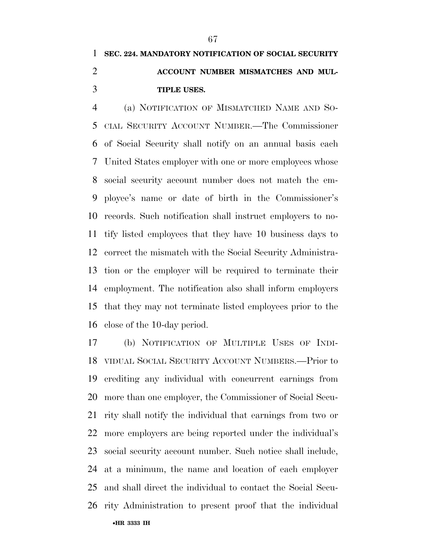# **SEC. 224. MANDATORY NOTIFICATION OF SOCIAL SECURITY ACCOUNT NUMBER MISMATCHES AND MUL-TIPLE USES.**

 (a) NOTIFICATION OF MISMATCHED NAME AND SO- CIAL SECURITY ACCOUNT NUMBER.—The Commissioner of Social Security shall notify on an annual basis each United States employer with one or more employees whose social security account number does not match the em- ployee's name or date of birth in the Commissioner's records. Such notification shall instruct employers to no- tify listed employees that they have 10 business days to correct the mismatch with the Social Security Administra- tion or the employer will be required to terminate their employment. The notification also shall inform employers that they may not terminate listed employees prior to the close of the 10-day period.

•**HR 3333 IH**  (b) NOTIFICATION OF MULTIPLE USES OF INDI- VIDUAL SOCIAL SECURITY ACCOUNT NUMBERS.—Prior to crediting any individual with concurrent earnings from more than one employer, the Commissioner of Social Secu- rity shall notify the individual that earnings from two or more employers are being reported under the individual's social security account number. Such notice shall include, at a minimum, the name and location of each employer and shall direct the individual to contact the Social Secu-rity Administration to present proof that the individual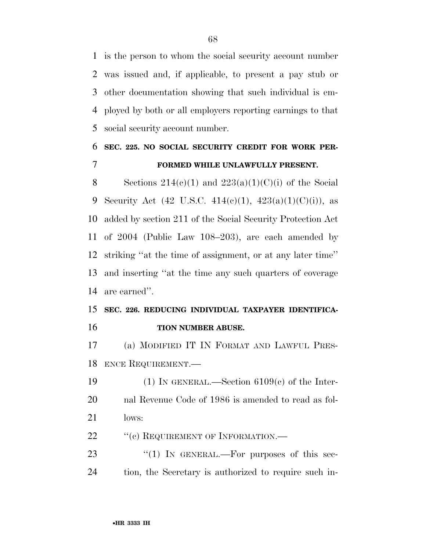is the person to whom the social security account number was issued and, if applicable, to present a pay stub or other documentation showing that such individual is em- ployed by both or all employers reporting earnings to that social security account number.

## **SEC. 225. NO SOCIAL SECURITY CREDIT FOR WORK PER-FORMED WHILE UNLAWFULLY PRESENT.**

8 Sections  $214(c)(1)$  and  $223(a)(1)(C)(i)$  of the Social 9 Security Act (42 U.S.C. 414(c)(1),  $423(a)(1)(C)(i)$ , as added by section 211 of the Social Security Protection Act of 2004 (Public Law 108–203), are each amended by striking ''at the time of assignment, or at any later time'' and inserting ''at the time any such quarters of coverage are earned''.

### **SEC. 226. REDUCING INDIVIDUAL TAXPAYER IDENTIFICA-TION NUMBER ABUSE.**

 (a) MODIFIED IT IN FORMAT AND LAWFUL PRES-ENCE REQUIREMENT.—

19 (1) IN GENERAL.—Section  $6109(c)$  of the Inter- nal Revenue Code of 1986 is amended to read as fol-lows:

22 " (c) REQUIREMENT OF INFORMATION.—

23 "(1) In GENERAL.—For purposes of this sec-tion, the Secretary is authorized to require such in-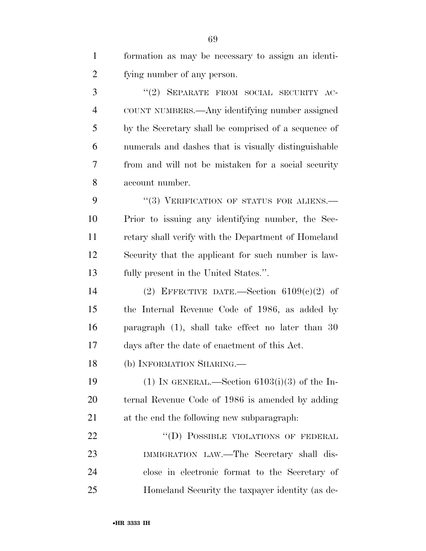| $\mathbf{1}$   | formation as may be necessary to assign an identi-   |
|----------------|------------------------------------------------------|
| $\overline{2}$ | fying number of any person.                          |
| 3              | "(2) SEPARATE FROM SOCIAL SECURITY AC-               |
| $\overline{4}$ | COUNT NUMBERS.—Any identifying number assigned       |
| 5              | by the Secretary shall be comprised of a sequence of |
| 6              | numerals and dashes that is visually distinguishable |
| 7              | from and will not be mistaken for a social security  |
| 8              | account number.                                      |
| 9              | "(3) VERIFICATION OF STATUS FOR ALIENS.—             |
| 10             | Prior to issuing any identifying number, the Sec-    |
| 11             | retary shall verify with the Department of Homeland  |
| 12             | Security that the applicant for such number is law-  |
| 13             | fully present in the United States.".                |
| 14             | (2) EFFECTIVE DATE.—Section $6109(c)(2)$ of          |
| 15             | the Internal Revenue Code of 1986, as added by       |
| 16             | paragraph (1), shall take effect no later than 30    |
| 17             | days after the date of enactment of this Act.        |
| 18             | (b) INFORMATION SHARING.                             |
| 19             | (1) IN GENERAL.—Section $6103(i)(3)$ of the In-      |
| 20             | ternal Revenue Code of 1986 is amended by adding     |
| 21             | at the end the following new subparagraph.           |
| 22             | "(D) POSSIBLE VIOLATIONS OF FEDERAL                  |
| 23             | IMMIGRATION LAW.—The Secretary shall dis-            |
| 24             | close in electronic format to the Secretary of       |
| 25             | Homeland Security the taxpayer identity (as de-      |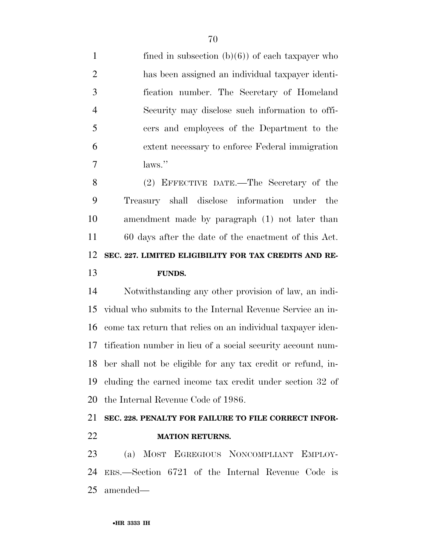1 fined in subsection  $(b)(6)$  of each taxpayer who has been assigned an individual taxpayer identi- fication number. The Secretary of Homeland Security may disclose such information to offi- cers and employees of the Department to the extent necessary to enforce Federal immigration laws.''

 (2) EFFECTIVE DATE.—The Secretary of the Treasury shall disclose information under the amendment made by paragraph (1) not later than 60 days after the date of the enactment of this Act. **SEC. 227. LIMITED ELIGIBILITY FOR TAX CREDITS AND RE-FUNDS.** 

 Notwithstanding any other provision of law, an indi- vidual who submits to the Internal Revenue Service an in- come tax return that relies on an individual taxpayer iden- tification number in lieu of a social security account num- ber shall not be eligible for any tax credit or refund, in- cluding the earned income tax credit under section 32 of the Internal Revenue Code of 1986.

## **SEC. 228. PENALTY FOR FAILURE TO FILE CORRECT INFOR-MATION RETURNS.**

 (a) MOST EGREGIOUS NONCOMPLIANT EMPLOY- ERS.—Section 6721 of the Internal Revenue Code is amended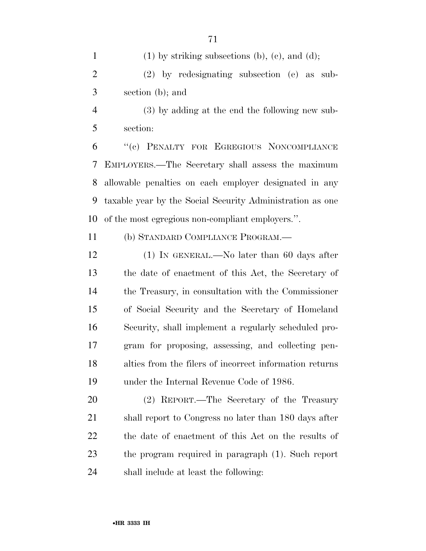(3) by adding at the end the following new sub-section:

 ''(c) PENALTY FOR EGREGIOUS NONCOMPLIANCE EMPLOYERS.—The Secretary shall assess the maximum allowable penalties on each employer designated in any taxable year by the Social Security Administration as one of the most egregious non-compliant employers.''.

(b) STANDARD COMPLIANCE PROGRAM.—

12 (1) IN GENERAL.—No later than 60 days after the date of enactment of this Act, the Secretary of the Treasury, in consultation with the Commissioner of Social Security and the Secretary of Homeland Security, shall implement a regularly scheduled pro- gram for proposing, assessing, and collecting pen- alties from the filers of incorrect information returns under the Internal Revenue Code of 1986.

 (2) REPORT.—The Secretary of the Treasury shall report to Congress no later than 180 days after the date of enactment of this Act on the results of the program required in paragraph (1). Such report shall include at least the following: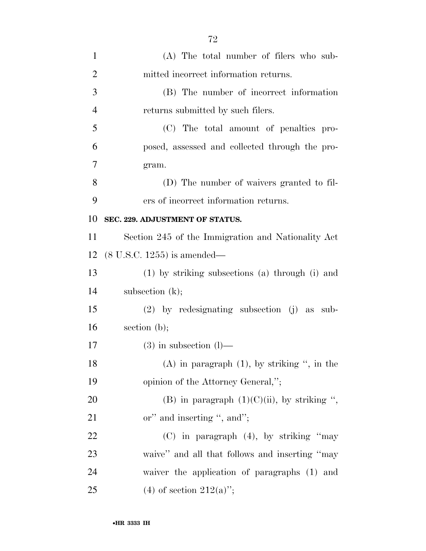| $\mathbf{1}$   | (A) The total number of filers who sub-            |
|----------------|----------------------------------------------------|
| $\overline{2}$ | mitted incorrect information returns.              |
| 3              | (B) The number of incorrect information            |
| $\overline{4}$ | returns submitted by such filers.                  |
| 5              | (C) The total amount of penalties pro-             |
| 6              | posed, assessed and collected through the pro-     |
| 7              | gram.                                              |
| 8              | (D) The number of waivers granted to fil-          |
| 9              | ers of incorrect information returns.              |
| 10             | SEC. 229. ADJUSTMENT OF STATUS.                    |
| 11             | Section 245 of the Immigration and Nationality Act |
| 12             | $(8 \text{ U.S.C. } 1255)$ is amended—             |
| 13             | (1) by striking subsections (a) through (i) and    |
| 14             | subsection $(k)$ ;                                 |
| 15             | $(2)$ by redesignating subsection $(j)$ as sub-    |
| 16             | section $(b)$ ;                                    |
| 17             | $(3)$ in subsection $(l)$ —                        |
| 18             | $(A)$ in paragraph $(1)$ , by striking ", in the   |
| 19             | opinion of the Attorney General,";                 |
| 20             | (B) in paragraph $(1)(C)(ii)$ , by striking ",     |
| 21             | or" and inserting ", and";                         |
| 22             | $(C)$ in paragraph $(4)$ , by striking "may        |
| 23             | waive" and all that follows and inserting "may     |
| 24             | waiver the application of paragraphs (1) and       |
| 25             | (4) of section $212(a)$ ";                         |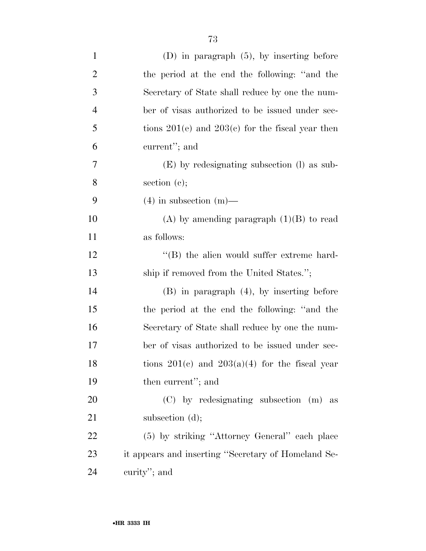| $\mathbf{1}$   | $(D)$ in paragraph $(5)$ , by inserting before       |
|----------------|------------------------------------------------------|
| $\overline{2}$ | the period at the end the following: "and the        |
| 3              | Secretary of State shall reduce by one the num-      |
| $\overline{4}$ | ber of visas authorized to be issued under sec-      |
| 5              | tions $201(e)$ and $203(e)$ for the fiscal year then |
| 6              | current"; and                                        |
| 7              | (E) by redesignating subsection (I) as sub-          |
| 8              | section $(c)$ ;                                      |
| 9              | $(4)$ in subsection $(m)$ —                          |
| 10             | (A) by amending paragraph $(1)(B)$ to read           |
| 11             | as follows:                                          |
| 12             | $\lq\lq$ the alien would suffer extreme hard-        |
| 13             | ship if removed from the United States.";            |
| 14             | $(B)$ in paragraph $(4)$ , by inserting before       |
| 15             | the period at the end the following: "and the        |
| 16             | Secretary of State shall reduce by one the num-      |
| 17             | ber of visas authorized to be issued under sec-      |
| 18             | tions $201(c)$ and $203(a)(4)$ for the fiscal year   |
| 19             | then current"; and                                   |
| 20             | (C) by redesignating subsection (m) as               |
| 21             | subsection $(d)$ ;                                   |
| 22             | (5) by striking "Attorney General" each place        |
| 23             | it appears and inserting "Secretary of Homeland Se-  |
| 24             | curity"; and                                         |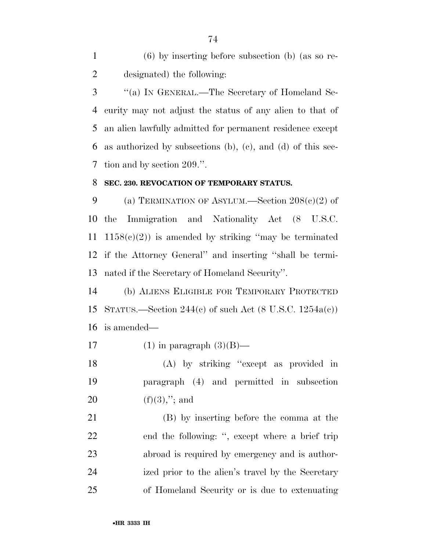(6) by inserting before subsection (b) (as so re-designated) the following:

 ''(a) IN GENERAL.—The Secretary of Homeland Se- curity may not adjust the status of any alien to that of an alien lawfully admitted for permanent residence except as authorized by subsections (b), (c), and (d) of this sec-tion and by section 209.''.

#### **SEC. 230. REVOCATION OF TEMPORARY STATUS.**

9 (a) TERMINATION OF ASYLUM.—Section  $208(e)(2)$  of the Immigration and Nationality Act (8 U.S.C. 11 1158 $(e)(2)$  is amended by striking "may be terminated if the Attorney General'' and inserting ''shall be termi-nated if the Secretary of Homeland Security''.

 (b) ALIENS ELIGIBLE FOR TEMPORARY PROTECTED STATUS.—Section 244(c) of such Act (8 U.S.C. 1254a(c)) is amended—

17 (1) in paragraph  $(3)(B)$ —

 (A) by striking ''except as provided in paragraph (4) and permitted in subsection 20 (f)(3),"; and

 (B) by inserting before the comma at the end the following: '', except where a brief trip abroad is required by emergency and is author- ized prior to the alien's travel by the Secretary of Homeland Security or is due to extenuating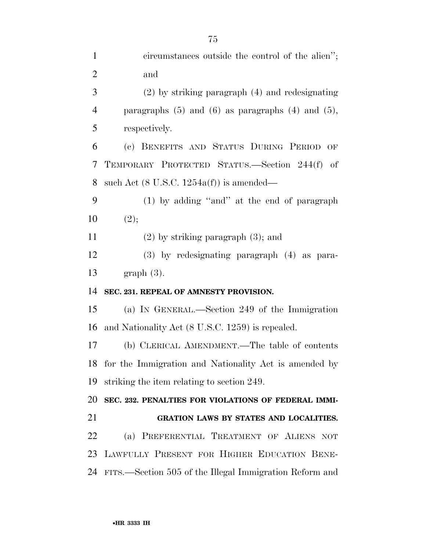circumstances outside the control of the alien''; and (2) by striking paragraph (4) and redesignating paragraphs (5) and (6) as paragraphs (4) and (5), respectively. (c) BENEFITS AND STATUS DURING PERIOD OF TEMPORARY PROTECTED STATUS.—Section 244(f) of such Act (8 U.S.C. 1254a(f)) is amended— (1) by adding ''and'' at the end of paragraph  $(2)$ ; (2) by striking paragraph (3); and (3) by redesignating paragraph (4) as para- graph (3). **SEC. 231. REPEAL OF AMNESTY PROVISION.**  (a) IN GENERAL.—Section 249 of the Immigration and Nationality Act (8 U.S.C. 1259) is repealed. (b) CLERICAL AMENDMENT.—The table of contents for the Immigration and Nationality Act is amended by striking the item relating to section 249. **SEC. 232. PENALTIES FOR VIOLATIONS OF FEDERAL IMMI- GRATION LAWS BY STATES AND LOCALITIES.**  (a) PREFERENTIAL TREATMENT OF ALIENS NOT LAWFULLY PRESENT FOR HIGHER EDUCATION BENE-FITS.—Section 505 of the Illegal Immigration Reform and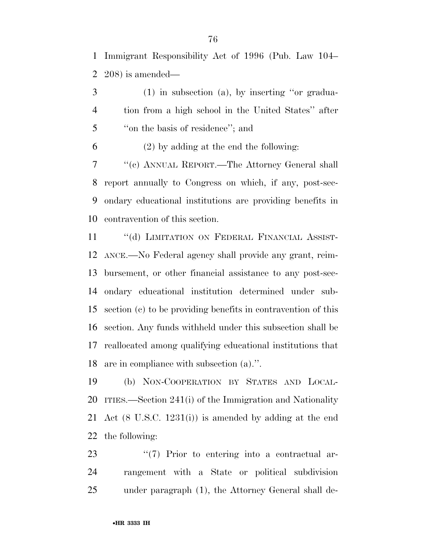Immigrant Responsibility Act of 1996 (Pub. Law 104– 208) is amended—

 (1) in subsection (a), by inserting ''or gradua- tion from a high school in the United States'' after ''on the basis of residence''; and

(2) by adding at the end the following:

 ''(c) ANNUAL REPORT.—The Attorney General shall report annually to Congress on which, if any, post-sec- ondary educational institutions are providing benefits in contravention of this section.

11 "(d) LIMITATION ON FEDERAL FINANCIAL ASSIST- ANCE.—No Federal agency shall provide any grant, reim- bursement, or other financial assistance to any post-sec- ondary educational institution determined under sub- section (c) to be providing benefits in contravention of this section. Any funds withheld under this subsection shall be reallocated among qualifying educational institutions that are in compliance with subsection (a).''.

 (b) NON-COOPERATION BY STATES AND LOCAL- ITIES.—Section 241(i) of the Immigration and Nationality Act (8 U.S.C. 1231(i)) is amended by adding at the end the following:

23  $\frac{4}{7}$  Prior to entering into a contractual ar- rangement with a State or political subdivision under paragraph (1), the Attorney General shall de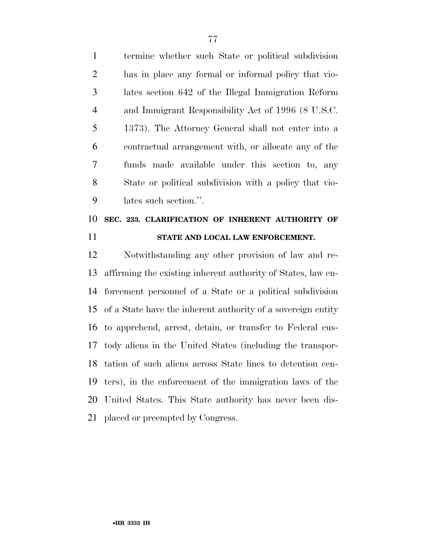termine whether such State or political subdivision has in place any formal or informal policy that vio- lates section 642 of the Illegal Immigration Reform and Immigrant Responsibility Act of 1996 (8 U.S.C. 1373). The Attorney General shall not enter into a contractual arrangement with, or allocate any of the funds made available under this section to, any State or political subdivision with a policy that vio-lates such section.''.

### **SEC. 233. CLARIFICATION OF INHERENT AUTHORITY OF STATE AND LOCAL LAW ENFORCEMENT.**

 Notwithstanding any other provision of law and re- affirming the existing inherent authority of States, law en- forcement personnel of a State or a political subdivision of a State have the inherent authority of a sovereign entity to apprehend, arrest, detain, or transfer to Federal cus- tody aliens in the United States (including the transpor- tation of such aliens across State lines to detention cen- ters), in the enforcement of the immigration laws of the United States. This State authority has never been dis-placed or preempted by Congress.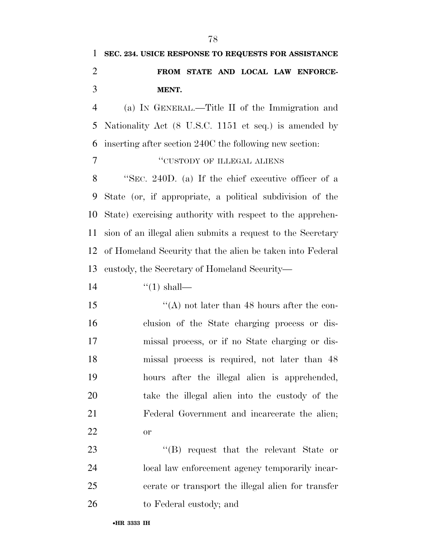## **SEC. 234. USICE RESPONSE TO REQUESTS FOR ASSISTANCE FROM STATE AND LOCAL LAW ENFORCE-MENT.**

 (a) IN GENERAL.—Title II of the Immigration and Nationality Act (8 U.S.C. 1151 et seq.) is amended by inserting after section 240C the following new section:

#### 7 "CUSTODY OF ILLEGAL ALIENS"

 ''SEC. 240D. (a) If the chief executive officer of a State (or, if appropriate, a political subdivision of the State) exercising authority with respect to the apprehen- sion of an illegal alien submits a request to the Secretary of Homeland Security that the alien be taken into Federal custody, the Secretary of Homeland Security—

14  $\frac{1}{2}$   $\frac{1}{2}$   $\frac{1}{2}$  shall—

15 "(A) not later than 48 hours after the con- clusion of the State charging process or dis- missal process, or if no State charging or dis- missal process is required, not later than 48 hours after the illegal alien is apprehended, take the illegal alien into the custody of the Federal Government and incarcerate the alien; or

23 ''(B) request that the relevant State or local law enforcement agency temporarily incar- cerate or transport the illegal alien for transfer to Federal custody; and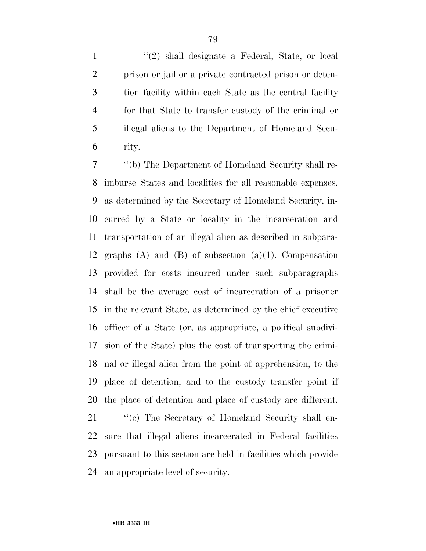1 ''(2) shall designate a Federal, State, or local prison or jail or a private contracted prison or deten- tion facility within each State as the central facility for that State to transfer custody of the criminal or illegal aliens to the Department of Homeland Secu-rity.

 ''(b) The Department of Homeland Security shall re- imburse States and localities for all reasonable expenses, as determined by the Secretary of Homeland Security, in- curred by a State or locality in the incarceration and transportation of an illegal alien as described in subpara- graphs (A) and (B) of subsection (a)(1). Compensation provided for costs incurred under such subparagraphs shall be the average cost of incarceration of a prisoner in the relevant State, as determined by the chief executive officer of a State (or, as appropriate, a political subdivi- sion of the State) plus the cost of transporting the crimi- nal or illegal alien from the point of apprehension, to the place of detention, and to the custody transfer point if the place of detention and place of custody are different.

21 "(c) The Secretary of Homeland Security shall en- sure that illegal aliens incarcerated in Federal facilities pursuant to this section are held in facilities which provide an appropriate level of security.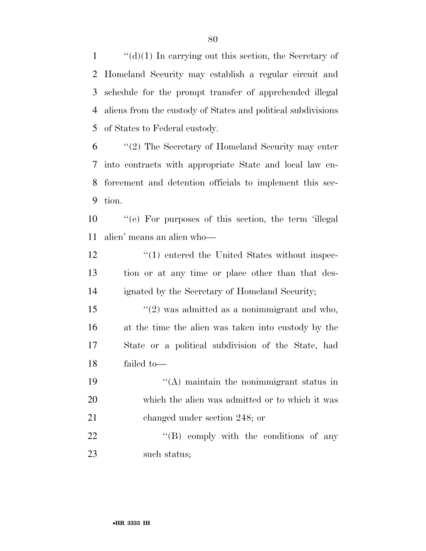$\langle d \rangle$ (1) In carrying out this section, the Secretary of Homeland Security may establish a regular circuit and schedule for the prompt transfer of apprehended illegal aliens from the custody of States and political subdivisions of States to Federal custody.

 ''(2) The Secretary of Homeland Security may enter into contracts with appropriate State and local law en- forcement and detention officials to implement this sec-tion.

 ''(e) For purposes of this section, the term 'illegal alien' means an alien who—

12 ''(1) entered the United States without inspec- tion or at any time or place other than that des-ignated by the Secretary of Homeland Security;

 $\frac{1}{2}$  was admitted as a nonimmigrant and who, at the time the alien was taken into custody by the State or a political subdivision of the State, had failed to—

 ''(A) maintain the nonimmigrant status in which the alien was admitted or to which it was changed under section 248; or

22 "'(B) comply with the conditions of any such status;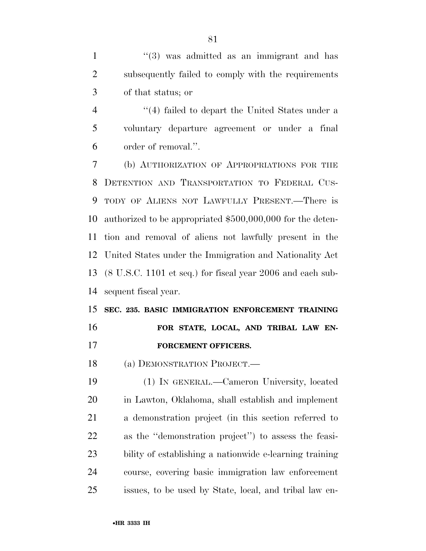1 ''(3) was admitted as an immigrant and has subsequently failed to comply with the requirements of that status; or

4 ''(4) failed to depart the United States under a voluntary departure agreement or under a final order of removal.''.

 (b) AUTHORIZATION OF APPROPRIATIONS FOR THE DETENTION AND TRANSPORTATION TO FEDERAL CUS- TODY OF ALIENS NOT LAWFULLY PRESENT.—There is authorized to be appropriated \$500,000,000 for the deten- tion and removal of aliens not lawfully present in the United States under the Immigration and Nationality Act (8 U.S.C. 1101 et seq.) for fiscal year 2006 and each sub-sequent fiscal year.

## **SEC. 235. BASIC IMMIGRATION ENFORCEMENT TRAINING FOR STATE, LOCAL, AND TRIBAL LAW EN-**

**FORCEMENT OFFICERS.** 

(a) DEMONSTRATION PROJECT.—

 (1) IN GENERAL.—Cameron University, located in Lawton, Oklahoma, shall establish and implement a demonstration project (in this section referred to as the ''demonstration project'') to assess the feasi- bility of establishing a nationwide e-learning training course, covering basic immigration law enforcement issues, to be used by State, local, and tribal law en-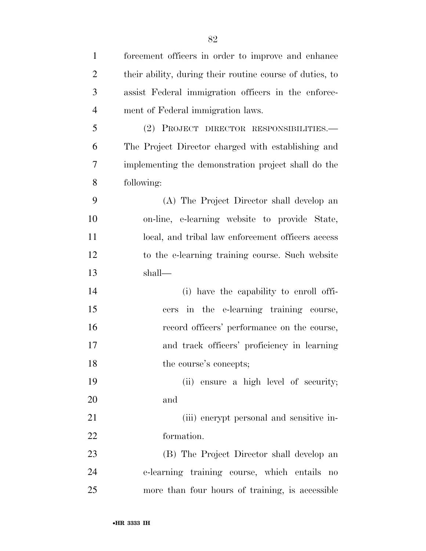| $\mathbf{1}$   | forcement officers in order to improve and enhance       |
|----------------|----------------------------------------------------------|
| $\overline{2}$ | their ability, during their routine course of duties, to |
| 3              | assist Federal immigration officers in the enforce-      |
| $\overline{4}$ | ment of Federal immigration laws.                        |
| 5              | (2) PROJECT DIRECTOR RESPONSIBILITIES.—                  |
| 6              | The Project Director charged with establishing and       |
| 7              | implementing the demonstration project shall do the      |
| 8              | following:                                               |
| 9              | (A) The Project Director shall develop an                |
| 10             | on-line, e-learning website to provide State,            |
| 11             | local, and tribal law enforcement officers access        |
| 12             | to the e-learning training course. Such website          |
| 13             | shall-                                                   |
| 14             | (i) have the capability to enroll offi-                  |
| 15             | cers in the e-learning training course,                  |
| 16             | record officers' performance on the course,              |
| 17             | and track officers' proficiency in learning              |
| 18             | the course's concepts;                                   |
| 19             | (ii) ensure a high level of security;                    |
| 20             | and                                                      |
| 21             | (iii) enerypt personal and sensitive in-                 |
| 22             | formation.                                               |
| 23             | (B) The Project Director shall develop an                |
| 24             | e-learning training course, which entails no             |
| 25             | more than four hours of training, is accessible          |
|                |                                                          |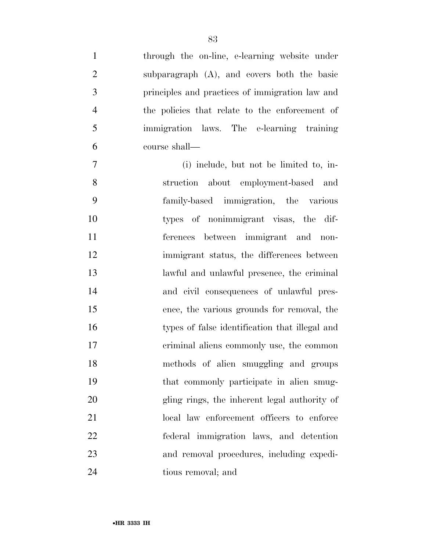| $\mathbf{1}$ | through the on-line, e-learning website under   |
|--------------|-------------------------------------------------|
| 2            | subparagraph (A), and covers both the basic     |
| 3            | principles and practices of immigration law and |
| 4            | the policies that relate to the enforcement of  |
| 5            | immigration laws. The e-learning training       |
| 6            | course shall—                                   |
|              |                                                 |

 (i) include, but not be limited to, in- struction about employment-based and family-based immigration, the various types of nonimmigrant visas, the dif- ferences between immigrant and non- immigrant status, the differences between lawful and unlawful presence, the criminal and civil consequences of unlawful pres- ence, the various grounds for removal, the types of false identification that illegal and criminal aliens commonly use, the common methods of alien smuggling and groups that commonly participate in alien smug- gling rings, the inherent legal authority of 21 local law enforcement officers to enforce federal immigration laws, and detention and removal procedures, including expedi-tious removal; and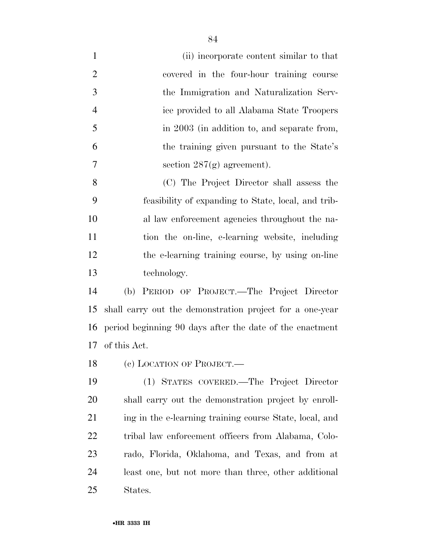(ii) incorporate content similar to that covered in the four-hour training course the Immigration and Naturalization Serv- ice provided to all Alabama State Troopers in 2003 (in addition to, and separate from, the training given pursuant to the State's 7 section  $287(g)$  agreement).

 (C) The Project Director shall assess the feasibility of expanding to State, local, and trib- al law enforcement agencies throughout the na- tion the on-line, e-learning website, including the e-learning training course, by using on-line technology.

 (b) PERIOD OF PROJECT.—The Project Director shall carry out the demonstration project for a one-year period beginning 90 days after the date of the enactment of this Act.

18 (c) LOCATION OF PROJECT.—

 (1) STATES COVERED.—The Project Director shall carry out the demonstration project by enroll-21 ing in the e-learning training course State, local, and tribal law enforcement officers from Alabama, Colo- rado, Florida, Oklahoma, and Texas, and from at least one, but not more than three, other additional States.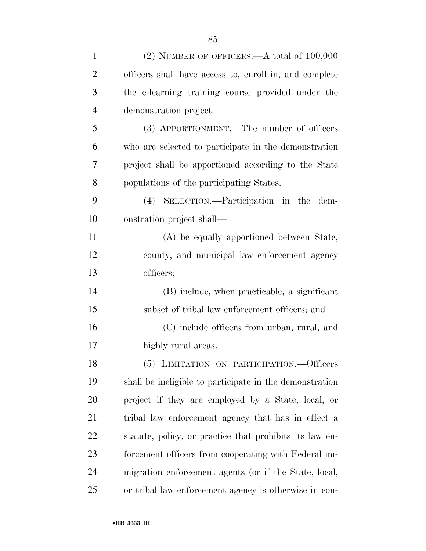| $\mathbf{1}$   | $(2)$ NUMBER OF OFFICERS.—A total of $100,000$          |
|----------------|---------------------------------------------------------|
| $\overline{2}$ | officers shall have access to, enroll in, and complete  |
| 3              | the e-learning training course provided under the       |
| $\overline{4}$ | demonstration project.                                  |
| 5              | (3) APPORTIONMENT.—The number of officers               |
| 6              | who are selected to participate in the demonstration    |
| $\overline{7}$ | project shall be apportioned according to the State     |
| 8              | populations of the participating States.                |
| 9              | (4) SELECTION.—Participation in the dem-                |
| 10             | onstration project shall—                               |
| 11             | (A) be equally apportioned between State,               |
| 12             | county, and municipal law enforcement agency            |
| 13             | officers;                                               |
| 14             | (B) include, when practicable, a significant            |
| 15             | subset of tribal law enforcement officers; and          |
| 16             | (C) include officers from urban, rural, and             |
| 17             | highly rural areas.                                     |
| 18             | (5) LIMITATION ON PARTICIPATION. - Officers             |
| 19             | shall be ineligible to participate in the demonstration |
| 20             | project if they are employed by a State, local, or      |
| 21             | tribal law enforcement agency that has in effect a      |
| 22             | statute, policy, or practice that prohibits its law en- |
| 23             | forcement officers from cooperating with Federal im-    |
| 24             | migration enforcement agents (or if the State, local,   |
| 25             | or tribal law enforcement agency is otherwise in con-   |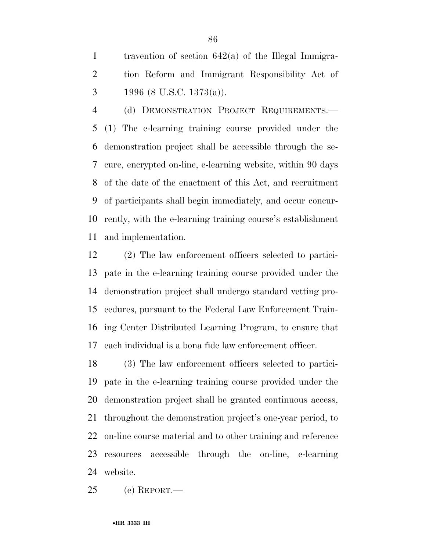travention of section 642(a) of the Illegal Immigra- tion Reform and Immigrant Responsibility Act of 3 1996 (8 U.S.C. 1373(a)).

 (d) DEMONSTRATION PROJECT REQUIREMENTS.— (1) The e-learning training course provided under the demonstration project shall be accessible through the se- cure, encrypted on-line, e-learning website, within 90 days of the date of the enactment of this Act, and recruitment of participants shall begin immediately, and occur concur- rently, with the e-learning training course's establishment and implementation.

 (2) The law enforcement officers selected to partici- pate in the e-learning training course provided under the demonstration project shall undergo standard vetting pro- cedures, pursuant to the Federal Law Enforcement Train- ing Center Distributed Learning Program, to ensure that each individual is a bona fide law enforcement officer.

 (3) The law enforcement officers selected to partici- pate in the e-learning training course provided under the demonstration project shall be granted continuous access, throughout the demonstration project's one-year period, to on-line course material and to other training and reference resources accessible through the on-line, e-learning website.

(e) REPORT.—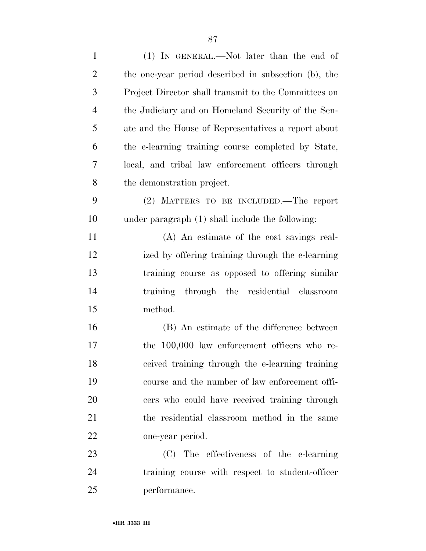| $\mathbf{1}$   | (1) IN GENERAL.—Not later than the end of            |
|----------------|------------------------------------------------------|
| $\overline{2}$ | the one-year period described in subsection (b), the |
| 3              | Project Director shall transmit to the Committees on |
| $\overline{4}$ | the Judiciary and on Homeland Security of the Sen-   |
| 5              | ate and the House of Representatives a report about  |
| 6              | the e-learning training course completed by State,   |
| 7              | local, and tribal law enforcement officers through   |
| 8              | the demonstration project.                           |
| 9              | (2) MATTERS TO BE INCLUDED.—The report               |
| 10             | under paragraph (1) shall include the following:     |
| 11             | (A) An estimate of the cost savings real-            |
| 12             | ized by offering training through the e-learning     |
| 13             | training course as opposed to offering similar       |
| 14             | training through the residential classroom           |
| 15             | method.                                              |
| 16             | (B) An estimate of the difference between            |
| 17             | the 100,000 law enforcement officers who re-         |
| 18             | ceived training through the e-learning training      |
| 19             | course and the number of law enforcement offi-       |
| 20             | cers who could have received training through        |
| 21             | the residential classroom method in the same         |
| 22             | one-year period.                                     |
| 23             | (C) The effectiveness of the e-learning              |
| 24             | training course with respect to student-officer      |
| 25             | performance.                                         |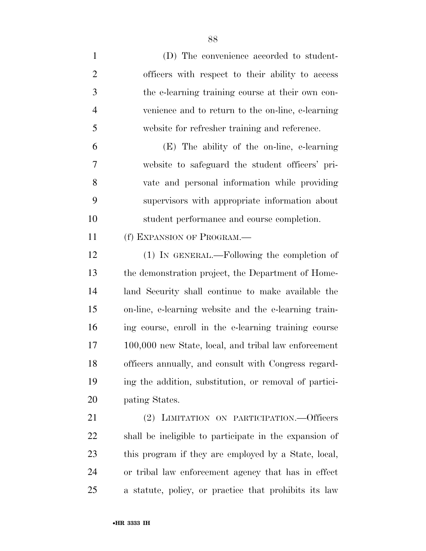| $\mathbf{1}$   | (D) The convenience accorded to student-               |
|----------------|--------------------------------------------------------|
| $\overline{2}$ | officers with respect to their ability to access       |
| 3              | the e-learning training course at their own con-       |
| $\overline{4}$ | venience and to return to the on-line, e-learning      |
| 5              | website for refresher training and reference.          |
| 6              | (E) The ability of the on-line, e-learning             |
| 7              | website to safeguard the student officers' pri-        |
| 8              | vate and personal information while providing          |
| 9              | supervisors with appropriate information about         |
| 10             | student performance and course completion.             |
| 11             | (f) EXPANSION OF PROGRAM.                              |
| 12             | (1) IN GENERAL.—Following the completion of            |
| 13             | the demonstration project, the Department of Home-     |
| 14             | land Security shall continue to make available the     |
| 15             | on-line, e-learning website and the e-learning train-  |
| 16             | ing course, enroll in the e-learning training course   |
| 17             | 100,000 new State, local, and tribal law enforcement   |
| 18             | officers annually, and consult with Congress regard-   |
| 19             | ing the addition, substitution, or removal of partici- |
| 20             | pating States.                                         |
| 21             | (2) LIMITATION ON PARTICIPATION.—Officers              |
| 22             | shall be ineligible to participate in the expansion of |
| 23             | this program if they are employed by a State, local,   |
| 24             | or tribal law enforcement agency that has in effect    |
| 25             | a statute, policy, or practice that prohibits its law  |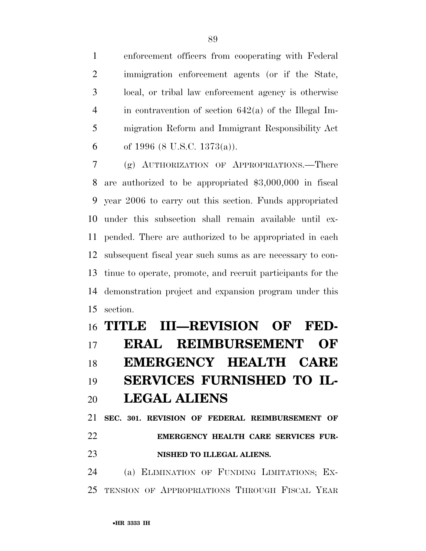enforcement officers from cooperating with Federal immigration enforcement agents (or if the State, local, or tribal law enforcement agency is otherwise in contravention of section 642(a) of the Illegal Im- migration Reform and Immigrant Responsibility Act 6 of 1996 (8 U.S.C. 1373(a)).

 (g) AUTHORIZATION OF APPROPRIATIONS.—There are authorized to be appropriated \$3,000,000 in fiscal year 2006 to carry out this section. Funds appropriated under this subsection shall remain available until ex- pended. There are authorized to be appropriated in each subsequent fiscal year such sums as are necessary to con- tinue to operate, promote, and recruit participants for the demonstration project and expansion program under this section.

# **TITLE III—REVISION OF FED- ERAL REIMBURSEMENT OF EMERGENCY HEALTH CARE SERVICES FURNISHED TO IL- LEGAL ALIENS SEC. 301. REVISION OF FEDERAL REIMBURSEMENT OF**

## **EMERGENCY HEALTH CARE SERVICES FUR-NISHED TO ILLEGAL ALIENS.**

 (a) ELIMINATION OF FUNDING LIMITATIONS; EX-TENSION OF APPROPRIATIONS THROUGH FISCAL YEAR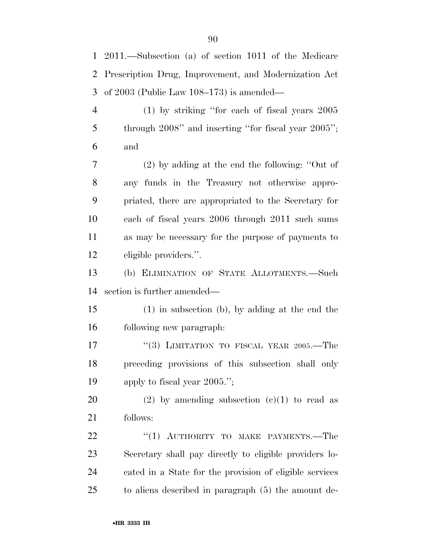2011.—Subsection (a) of section 1011 of the Medicare Prescription Drug, Improvement, and Modernization Act of 2003 (Public Law 108–173) is amended— (1) by striking ''for each of fiscal years 2005 5 through 2008" and inserting "for fiscal year 2005"; and

 (2) by adding at the end the following: ''Out of any funds in the Treasury not otherwise appro- priated, there are appropriated to the Secretary for each of fiscal years 2006 through 2011 such sums as may be necessary for the purpose of payments to eligible providers.''.

 (b) ELIMINATION OF STATE ALLOTMENTS.—Such section is further amended—

 (1) in subsection (b), by adding at the end the following new paragraph:

17 "(3) LIMITATION TO FISCAL YEAR 2005.—The preceding provisions of this subsection shall only apply to fiscal year 2005.'';

20 (2) by amending subsection  $(c)(1)$  to read as follows:

22 "(1) AUTHORITY TO MAKE PAYMENTS.—The Secretary shall pay directly to eligible providers lo- cated in a State for the provision of eligible services to aliens described in paragraph (5) the amount de-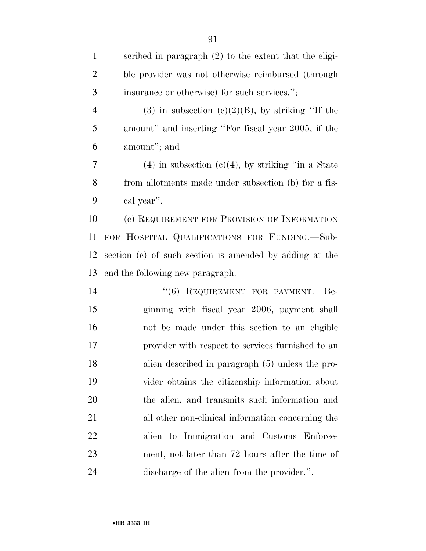| $\mathbf{1}$   | scribed in paragraph $(2)$ to the extent that the eligi- |
|----------------|----------------------------------------------------------|
| $\overline{2}$ | ble provider was not otherwise reimbursed (through       |
| 3              | insurance or otherwise) for such services.";             |
| $\overline{4}$ | (3) in subsection (c)(2)(B), by striking "If the         |
| 5              | amount" and inserting "For fiscal year 2005, if the      |
| 6              | amount"; and                                             |
| 7              | $(4)$ in subsection $(c)(4)$ , by striking "in a State"  |
| 8              | from allotments made under subsection (b) for a fis-     |
| 9              | cal year".                                               |
| 10             | (c) REQUIREMENT FOR PROVISION OF INFORMATION             |
| 11             | FOR HOSPITAL QUALIFICATIONS FOR FUNDING.-Sub-            |
| 12             | section (c) of such section is amended by adding at the  |
| 13             | end the following new paragraph.                         |
| 14             | "(6) REQUIREMENT FOR PAYMENT.--Be-                       |
| 15             | ginning with fiscal year 2006, payment shall             |
| 16             | not be made under this section to an eligible            |
| 17             | provider with respect to services furnished to an        |
| 18             | alien described in paragraph (5) unless the pro-         |
| 19             | vider obtains the citizenship information about          |
| 20             | the alien, and transmits such information and            |
| 21             | all other non-clinical information concerning the        |
| 22             | alien to Immigration and Customs Enforce-                |
| 23             | ment, not later than 72 hours after the time of          |
| 24             | discharge of the alien from the provider.".              |